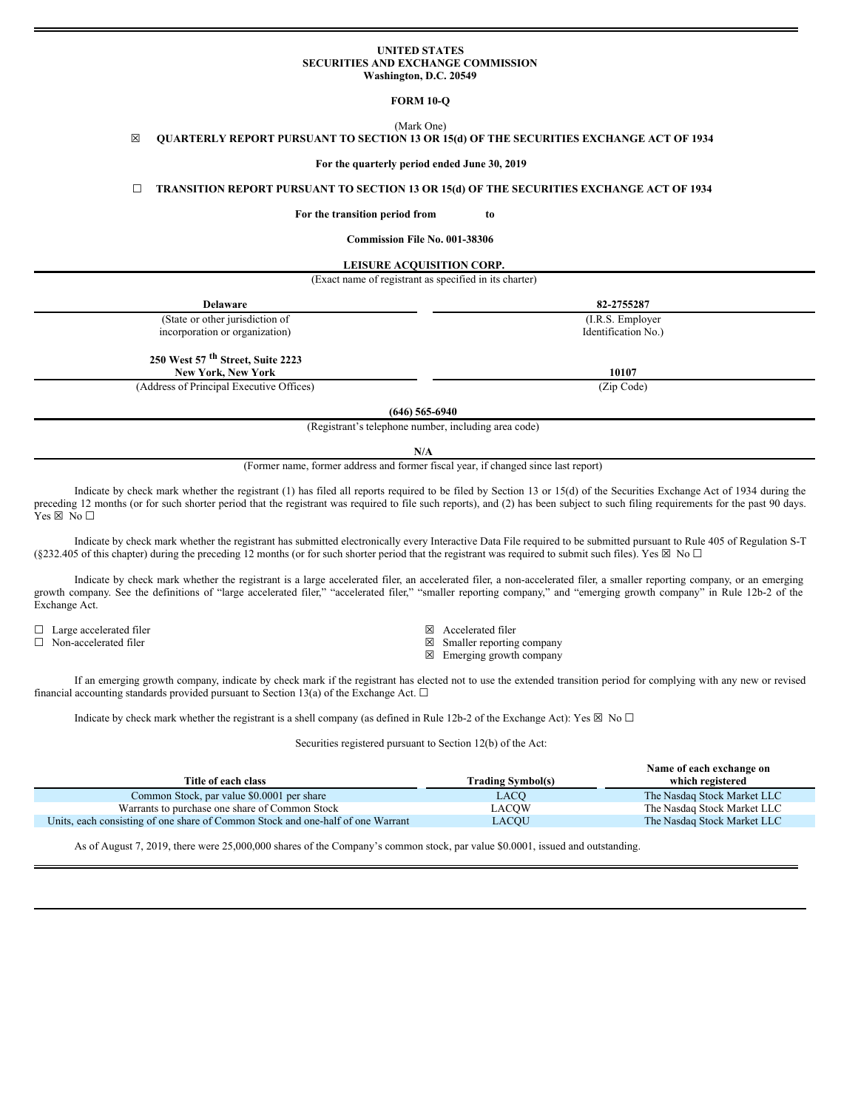### **UNITED STATES SECURITIES AND EXCHANGE COMMISSION Washington, D.C. 20549**

**FORM 10-Q**

(Mark One)

☒ **QUARTERLY REPORT PURSUANT TO SECTION 13 OR 15(d) OF THE SECURITIES EXCHANGE ACT OF 1934**

**For the quarterly period ended June 30, 2019**

☐ **TRANSITION REPORT PURSUANT TO SECTION 13 OR 15(d) OF THE SECURITIES EXCHANGE ACT OF 1934**

**For the transition period from to**

**Commission File No. 001-38306**

## **LEISURE ACQUISITION CORP.**

|                                                                           | (Exact name of registrant as specified in its charter) |
|---------------------------------------------------------------------------|--------------------------------------------------------|
| <b>Delaware</b>                                                           | 82-2755287                                             |
| (State or other jurisdiction of                                           | (I.R.S. Employer)                                      |
| incorporation or organization)                                            | Identification No.)                                    |
| 250 West 57 <sup>th</sup> Street, Suite 2223<br><b>New York, New York</b> | 10107                                                  |
| (Address of Principal Executive Offices)                                  | (Zip Code)                                             |
|                                                                           | $(646)$ 565-6940                                       |
|                                                                           | $\mathbf{1}$<br>$\mathbf{1}$                           |

(Registrant's telephone number, including area code)

**N/A**

(Former name, former address and former fiscal year, if changed since last report)

Indicate by check mark whether the registrant (1) has filed all reports required to be filed by Section 13 or 15(d) of the Securities Exchange Act of 1934 during the preceding 12 months (or for such shorter period that the registrant was required to file such reports), and (2) has been subject to such filing requirements for the past 90 days.  $Yes \boxtimes No \square$ 

Indicate by check mark whether the registrant has submitted electronically every Interactive Data File required to be submitted pursuant to Rule 405 of Regulation S-T (§232.405 of this chapter) during the preceding 12 months (or for such shorter period that the registrant was required to submit such files). Yes  $\boxtimes$  No  $\Box$ 

Indicate by check mark whether the registrant is a large accelerated filer, an accelerated filer, a non-accelerated filer, a smaller reporting company, or an emerging growth company. See the definitions of "large accelerated filer," "accelerated filer," "smaller reporting company," and "emerging growth company" in Rule 12b-2 of the Exchange Act.

 $\Box$  Large accelerated filer  $\Box$  Accelerated filer

- $\Box$  Non-accelerated filer  $\Box$  Smaller reporting company
	- ☒ Emerging growth company

If an emerging growth company, indicate by check mark if the registrant has elected not to use the extended transition period for complying with any new or revised financial accounting standards provided pursuant to Section 13(a) of the Exchange Act.  $\Box$ 

Indicate by check mark whether the registrant is a shell company (as defined in Rule 12b-2 of the Exchange Act): Yes  $\boxtimes$  No  $\Box$ 

Securities registered pursuant to Section 12(b) of the Act:

|                                                                                 |                          | Name of each exchange on    |
|---------------------------------------------------------------------------------|--------------------------|-----------------------------|
| Title of each class                                                             | <b>Trading Symbol(s)</b> | which registered            |
| Common Stock, par value \$0.0001 per share                                      | <b>LACO</b>              | The Nasdaq Stock Market LLC |
| Warrants to purchase one share of Common Stock                                  | LACOW                    | The Nasdaq Stock Market LLC |
| Units, each consisting of one share of Common Stock and one-half of one Warrant | LACOU                    | The Nasdaq Stock Market LLC |

As of August 7, 2019, there were 25,000,000 shares of the Company's common stock, par value \$0.0001, issued and outstanding.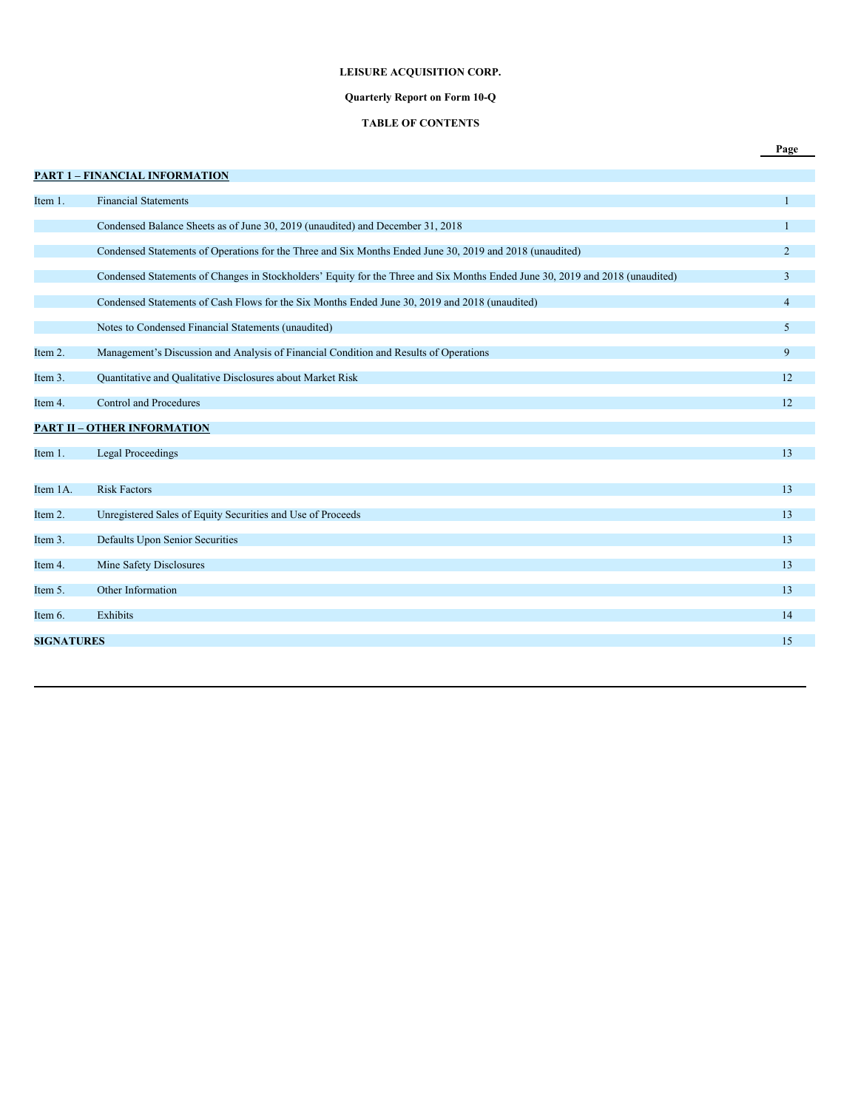# **LEISURE ACQUISITION CORP.**

# **Quarterly Report on Form 10-Q**

## **TABLE OF CONTENTS**

**Page**

|                   | <b>PART 1 - FINANCIAL INFORMATION</b>                                                                                         |                |
|-------------------|-------------------------------------------------------------------------------------------------------------------------------|----------------|
| Item 1.           | <b>Financial Statements</b>                                                                                                   |                |
|                   | Condensed Balance Sheets as of June 30, 2019 (unaudited) and December 31, 2018                                                |                |
|                   | Condensed Statements of Operations for the Three and Six Months Ended June 30, 2019 and 2018 (unaudited)                      | $\overline{2}$ |
|                   | Condensed Statements of Changes in Stockholders' Equity for the Three and Six Months Ended June 30, 2019 and 2018 (unaudited) | 3              |
|                   | Condensed Statements of Cash Flows for the Six Months Ended June 30, 2019 and 2018 (unaudited)                                | $\overline{4}$ |
|                   | Notes to Condensed Financial Statements (unaudited)                                                                           | 5              |
| Item 2.           | Management's Discussion and Analysis of Financial Condition and Results of Operations                                         | 9              |
| Item 3.           | Quantitative and Qualitative Disclosures about Market Risk                                                                    | 12             |
| Item 4.           | <b>Control and Procedures</b>                                                                                                 | 12             |
|                   | <b>PART II - OTHER INFORMATION</b>                                                                                            |                |
| Item 1.           | <b>Legal Proceedings</b>                                                                                                      | 13             |
|                   |                                                                                                                               |                |
| Item 1A.          | <b>Risk Factors</b>                                                                                                           | 13             |
| Item 2.           | Unregistered Sales of Equity Securities and Use of Proceeds                                                                   | 13             |
| Item 3.           | Defaults Upon Senior Securities                                                                                               | 13             |
| Item 4.           | Mine Safety Disclosures                                                                                                       | 13             |
| Item 5.           | Other Information                                                                                                             | 13             |
| Item 6.           | Exhibits                                                                                                                      | 14             |
| <b>SIGNATURES</b> |                                                                                                                               | 15             |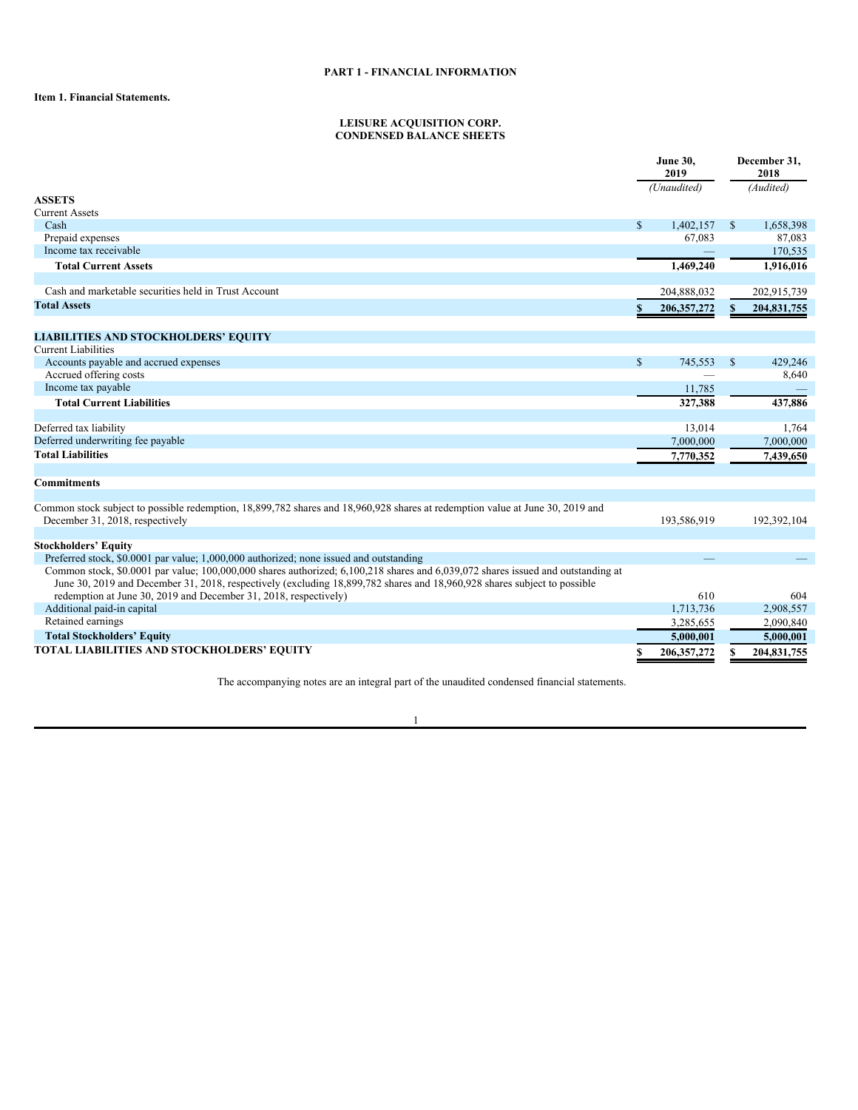## **Item 1. Financial Statements.**

#### **LEISURE ACQUISITION CORP. CONDENSED BALANCE SHEETS**

|                                                                                                                                  |              | <b>June 30.</b><br>2019 |              | December 31,<br>2018 |
|----------------------------------------------------------------------------------------------------------------------------------|--------------|-------------------------|--------------|----------------------|
|                                                                                                                                  |              | (Unaudited)             |              | (Audited)            |
| <b>ASSETS</b>                                                                                                                    |              |                         |              |                      |
| <b>Current Assets</b>                                                                                                            |              |                         |              |                      |
| Cash                                                                                                                             | \$           | 1,402,157               | $\mathbb{S}$ | 1,658,398            |
| Prepaid expenses<br>Income tax receivable                                                                                        |              | 67,083                  |              | 87,083               |
|                                                                                                                                  |              |                         |              | 170,535              |
| <b>Total Current Assets</b>                                                                                                      |              | 1,469,240               |              | 1,916,016            |
| Cash and marketable securities held in Trust Account                                                                             |              | 204,888,032             |              | 202,915,739          |
| <b>Total Assets</b>                                                                                                              |              | 206, 357, 272           |              | 204,831,755          |
|                                                                                                                                  |              |                         |              |                      |
| <b>LIABILITIES AND STOCKHOLDERS' EQUITY</b>                                                                                      |              |                         |              |                      |
| Current Liabilities                                                                                                              |              |                         |              |                      |
| Accounts payable and accrued expenses                                                                                            | $\mathbb{S}$ | 745,553                 | $\mathbb{S}$ | 429,246              |
| Accrued offering costs                                                                                                           |              |                         |              | 8.640                |
| Income tax payable                                                                                                               |              | 11,785                  |              |                      |
| <b>Total Current Liabilities</b>                                                                                                 |              | 327,388                 |              | 437,886              |
| Deferred tax liability                                                                                                           |              | 13,014                  |              | 1,764                |
| Deferred underwriting fee payable                                                                                                |              | 7,000,000               |              | 7,000,000            |
| <b>Total Liabilities</b>                                                                                                         |              | 7,770,352               |              | 7,439,650            |
| <b>Commitments</b>                                                                                                               |              |                         |              |                      |
|                                                                                                                                  |              |                         |              |                      |
| Common stock subject to possible redemption, 18,899,782 shares and 18,960,928 shares at redemption value at June 30, 2019 and    |              |                         |              |                      |
| December 31, 2018, respectively                                                                                                  |              | 193,586,919             |              | 192,392,104          |
|                                                                                                                                  |              |                         |              |                      |
| <b>Stockholders' Equity</b>                                                                                                      |              |                         |              |                      |
| Preferred stock, \$0.0001 par value; 1,000,000 authorized; none issued and outstanding                                           |              |                         |              |                      |
| Common stock, \$0.0001 par value; 100,000,000 shares authorized; 6,100,218 shares and 6,039,072 shares issued and outstanding at |              |                         |              |                      |
| June 30, 2019 and December 31, 2018, respectively (excluding 18,899,782 shares and 18,960,928 shares subject to possible         |              |                         |              |                      |
| redemption at June 30, 2019 and December 31, 2018, respectively)                                                                 |              | 610                     |              | 604                  |
| Additional paid-in capital                                                                                                       |              | 1,713,736               |              | 2,908,557            |
| Retained earnings                                                                                                                |              | 3,285,655               |              | 2,090,840            |
| <b>Total Stockholders' Equity</b>                                                                                                |              | 5,000,001               |              | 5,000,001            |
| TOTAL LIABILITIES AND STOCKHOLDERS' EQUITY                                                                                       |              | 206, 357, 272           | ς            | 204,831,755          |

The accompanying notes are an integral part of the unaudited condensed financial statements.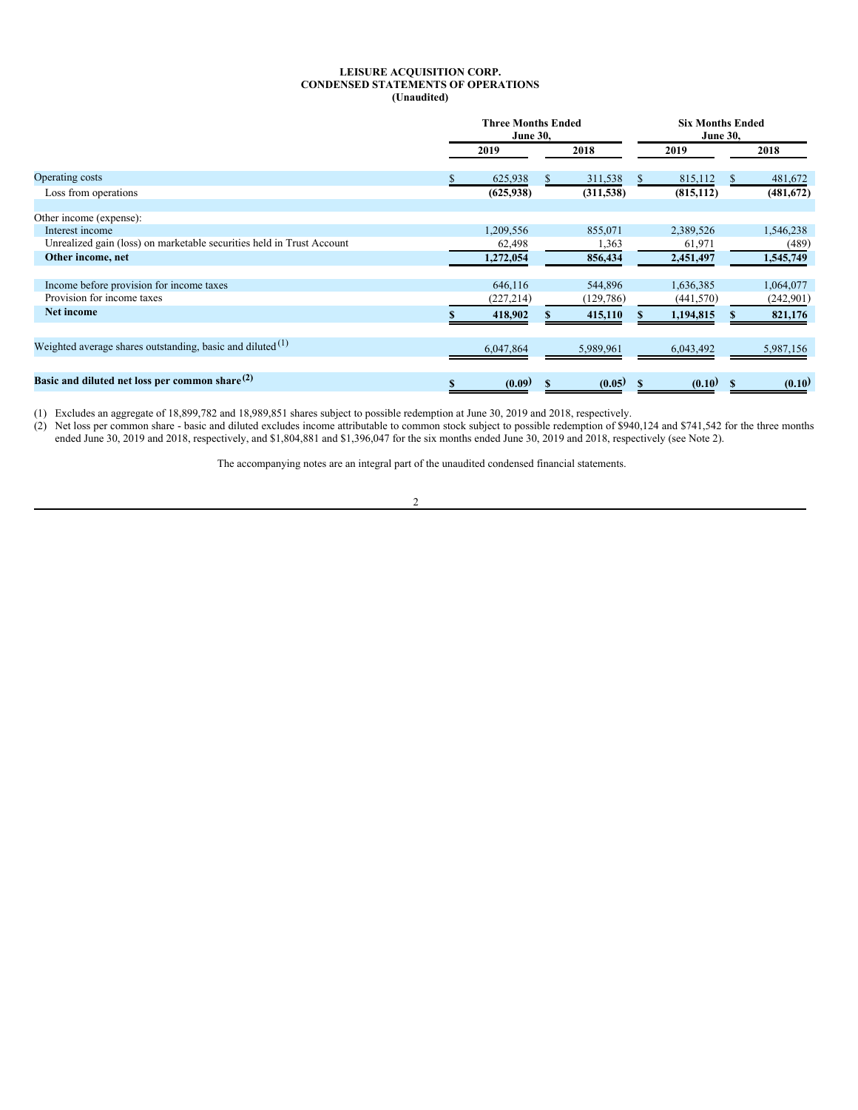## **LEISURE ACQUISITION CORP. CONDENSED STATEMENTS OF OPERATIONS (Unaudited)**

|                                                                       | <b>Three Months Ended</b><br><b>June 30,</b> |            |  | <b>Six Months Ended</b><br><b>June 30,</b> |  |            |  |            |
|-----------------------------------------------------------------------|----------------------------------------------|------------|--|--------------------------------------------|--|------------|--|------------|
|                                                                       |                                              | 2019       |  | 2018                                       |  | 2019       |  | 2018       |
| Operating costs                                                       |                                              | 625,938    |  | 311,538                                    |  | 815,112    |  | 481,672    |
| Loss from operations                                                  |                                              | (625, 938) |  | (311, 538)                                 |  | (815, 112) |  | (481, 672) |
| Other income (expense):                                               |                                              |            |  |                                            |  |            |  |            |
| Interest income                                                       |                                              | 1,209,556  |  | 855,071                                    |  | 2,389,526  |  | 1,546,238  |
| Unrealized gain (loss) on marketable securities held in Trust Account |                                              | 62,498     |  | 1,363                                      |  | 61,971     |  | (489)      |
| Other income, net                                                     |                                              | 1,272,054  |  | 856,434                                    |  | 2,451,497  |  | 1,545,749  |
| Income before provision for income taxes                              |                                              | 646,116    |  | 544,896                                    |  | 1,636,385  |  | 1,064,077  |
| Provision for income taxes                                            |                                              | (227, 214) |  | (129, 786)                                 |  | (441, 570) |  | (242,901)  |
| Net income                                                            |                                              | 418,902    |  | 415,110                                    |  | 1,194,815  |  | 821,176    |
| Weighted average shares outstanding, basic and diluted $(1)$          |                                              | 6,047,864  |  | 5,989,961                                  |  | 6,043,492  |  | 5,987,156  |
|                                                                       |                                              |            |  |                                            |  |            |  |            |
| Basic and diluted net loss per common share $(2)$                     |                                              | (0.09)     |  | (0.05)                                     |  | (0.10)     |  | (0.10)     |

(1) Excludes an aggregate of 18,899,782 and 18,989,851 shares subject to possible redemption at June 30, 2019 and 2018, respectively.

(2) Net loss per common share - basic and diluted excludes income attributable to common stock subject to possible redemption of \$940,124 and \$741,542 for the three months ended June 30, 2019 and 2018, respectively, and \$1,804,881 and \$1,396,047 for the six months ended June 30, 2019 and 2018, respectively (see Note 2).

The accompanying notes are an integral part of the unaudited condensed financial statements.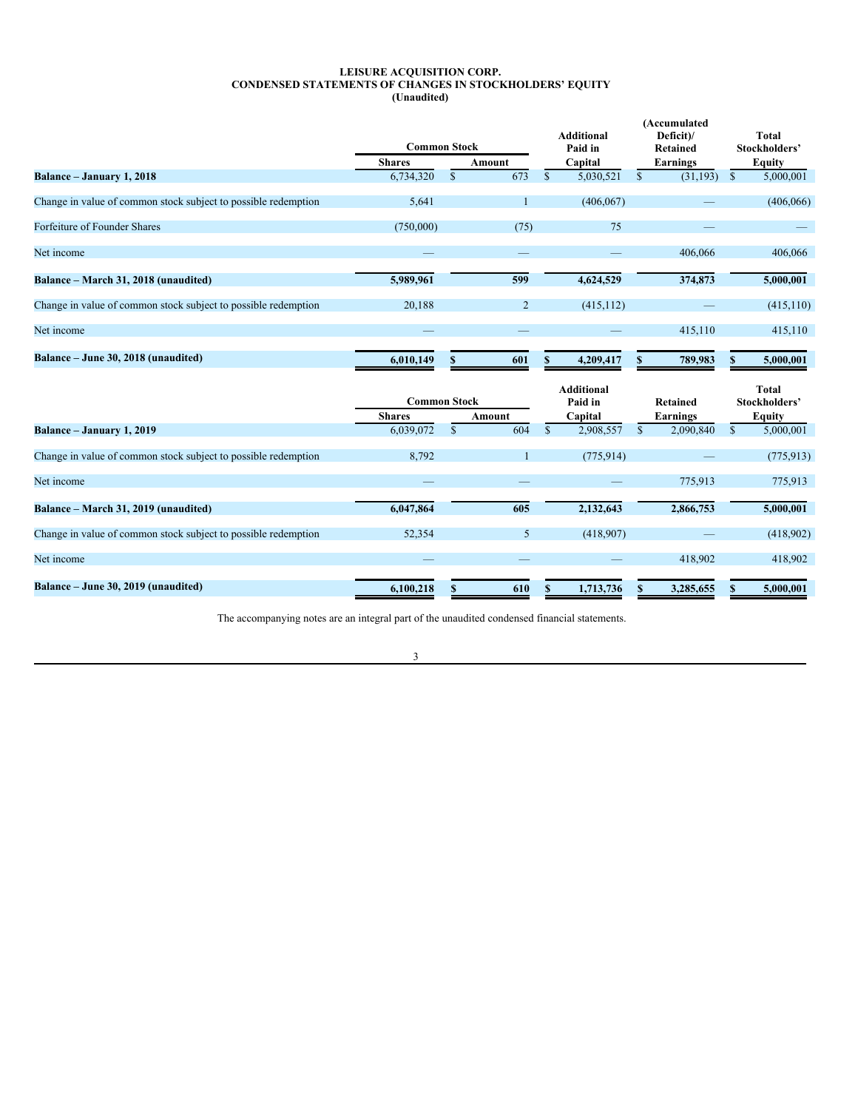### **LEISURE ACQUISITION CORP. CONDENSED STATEMENTS OF CHANGES IN STOCKHOLDERS' EQUITY (Unaudited)**

|                                                                |                                      | <b>Common Stock</b> |                | <b>Additional</b><br>Paid in |                              |              | (Accumulated<br>Deficit)/<br><b>Retained</b> | <b>Total</b><br>Stockholders' |                               |
|----------------------------------------------------------------|--------------------------------------|---------------------|----------------|------------------------------|------------------------------|--------------|----------------------------------------------|-------------------------------|-------------------------------|
|                                                                | <b>Shares</b>                        |                     | Amount         |                              | Capital                      |              | Earnings                                     |                               | <b>Equity</b>                 |
| Balance - January 1, 2018                                      | 6,734,320                            | $\mathbb{S}$        | 673            | $\mathbb{S}$                 | 5,030,521                    | $\mathbb{S}$ | (31, 193)                                    | $\mathbb{S}$                  | 5,000,001                     |
| Change in value of common stock subject to possible redemption | 5,641                                |                     | $\mathbf{1}$   |                              | (406, 067)                   |              |                                              |                               | (406, 066)                    |
| Forfeiture of Founder Shares                                   | (750,000)                            |                     | (75)           |                              | 75                           |              |                                              |                               |                               |
| Net income                                                     |                                      |                     |                |                              |                              |              | 406,066                                      |                               | 406,066                       |
| Balance - March 31, 2018 (unaudited)                           | 5,989,961                            |                     | 599            |                              | 4,624,529                    |              | 374,873                                      |                               | 5,000,001                     |
| Change in value of common stock subject to possible redemption | 20,188                               |                     | $\overline{2}$ |                              | (415, 112)                   |              |                                              |                               | (415, 110)                    |
| Net income                                                     |                                      |                     |                |                              |                              |              | 415,110                                      |                               | 415,110                       |
| Balance – June 30, 2018 (unaudited)                            | 6,010,149                            |                     | 601            | \$                           | 4,209,417                    |              | 789,983                                      |                               | 5,000,001                     |
|                                                                | <b>Common Stock</b><br><b>Shares</b> |                     | <b>Amount</b>  |                              | <b>Additional</b><br>Paid in |              | <b>Retained</b>                              |                               | <b>Total</b><br>Stockholders' |
| Balance - January 1, 2019                                      | 6.039.072                            | <sup>\$</sup>       | 604            | <sup>\$</sup>                | Capital<br>2,908,557         | $\mathbb{S}$ | <b>Earnings</b><br>2,090,840                 | $\mathbb{S}$                  | <b>Equity</b><br>5,000,001    |
| Change in value of common stock subject to possible redemption | 8,792                                |                     |                |                              | (775, 914)                   |              |                                              |                               | (775, 913)                    |
| Net income                                                     |                                      |                     |                |                              |                              |              | 775.913                                      |                               | 775,913                       |
| Balance - March 31, 2019 (unaudited)                           | 6,047,864                            |                     | 605            |                              | 2,132,643                    |              | 2,866,753                                    |                               | 5,000,001                     |
| Change in value of common stock subject to possible redemption | 52,354                               |                     | 5              |                              | (418,907)                    |              |                                              |                               | (418,902)                     |
| Net income                                                     |                                      |                     |                |                              |                              |              | 418,902                                      |                               | 418,902                       |
| Balance – June 30, 2019 (unaudited)                            | 6,100,218                            | \$                  | 610            | S                            | 1,713,736                    | \$           | 3,285,655                                    | \$                            | 5,000,001                     |

The accompanying notes are an integral part of the unaudited condensed financial statements.

3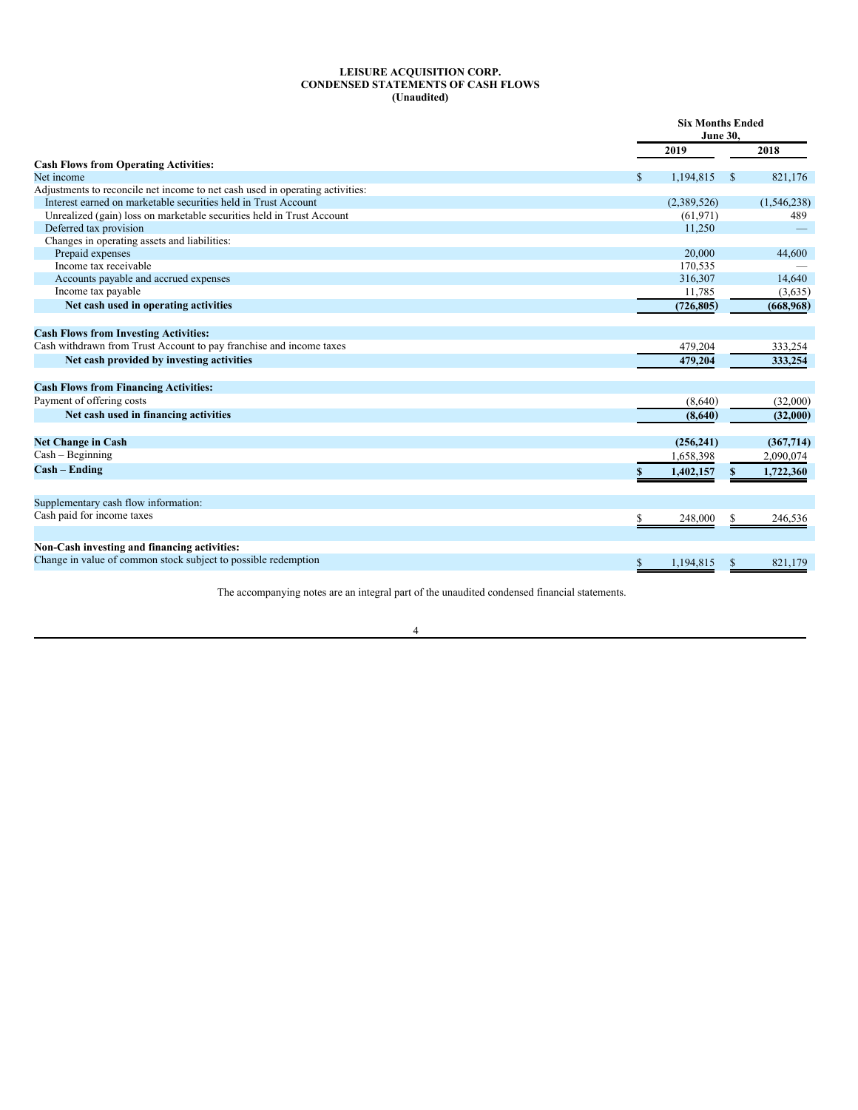### **LEISURE ACQUISITION CORP. CONDENSED STATEMENTS OF CASH FLOWS (Unaudited)**

|                                                                               |                 | <b>Six Months Ended</b><br><b>June 30.</b> |
|-------------------------------------------------------------------------------|-----------------|--------------------------------------------|
|                                                                               | 2019            | 2018                                       |
| <b>Cash Flows from Operating Activities:</b>                                  |                 |                                            |
| Net income                                                                    | 1,194,815<br>\$ | 821,176<br><sup>\$</sup>                   |
| Adjustments to reconcile net income to net cash used in operating activities: |                 |                                            |
| Interest earned on marketable securities held in Trust Account                | (2,389,526)     | (1, 546, 238)                              |
| Unrealized (gain) loss on marketable securities held in Trust Account         | (61, 971)       | 489                                        |
| Deferred tax provision                                                        | 11,250          |                                            |
| Changes in operating assets and liabilities:                                  |                 |                                            |
| Prepaid expenses                                                              | 20,000          | 44,600                                     |
| Income tax receivable                                                         | 170,535         |                                            |
| Accounts payable and accrued expenses                                         | 316,307         | 14,640                                     |
| Income tax payable                                                            | 11,785          | (3,635)                                    |
| Net cash used in operating activities                                         | (726, 805)      | (668, 968)                                 |
| <b>Cash Flows from Investing Activities:</b>                                  |                 |                                            |
| Cash withdrawn from Trust Account to pay franchise and income taxes           | 479,204         | 333,254                                    |
| Net cash provided by investing activities                                     | 479,204         | 333,254                                    |
| <b>Cash Flows from Financing Activities:</b>                                  |                 |                                            |
| Payment of offering costs                                                     | (8,640)         | (32,000)                                   |
| Net cash used in financing activities                                         | (8,640)         | (32,000)                                   |
| <b>Net Change in Cash</b>                                                     | (256, 241)      | (367,714)                                  |
| $Cash - Beginning$                                                            | 1,658,398       | 2,090,074                                  |
| $Cash - Ending$                                                               | 1,402,157       | 1,722,360                                  |
|                                                                               |                 |                                            |
| Supplementary cash flow information:                                          |                 |                                            |
| Cash paid for income taxes                                                    | 248,000<br>S    | \$.<br>246,536                             |
| Non-Cash investing and financing activities:                                  |                 |                                            |
| Change in value of common stock subject to possible redemption                | \$<br>1,194,815 | 821,179                                    |

The accompanying notes are an integral part of the unaudited condensed financial statements.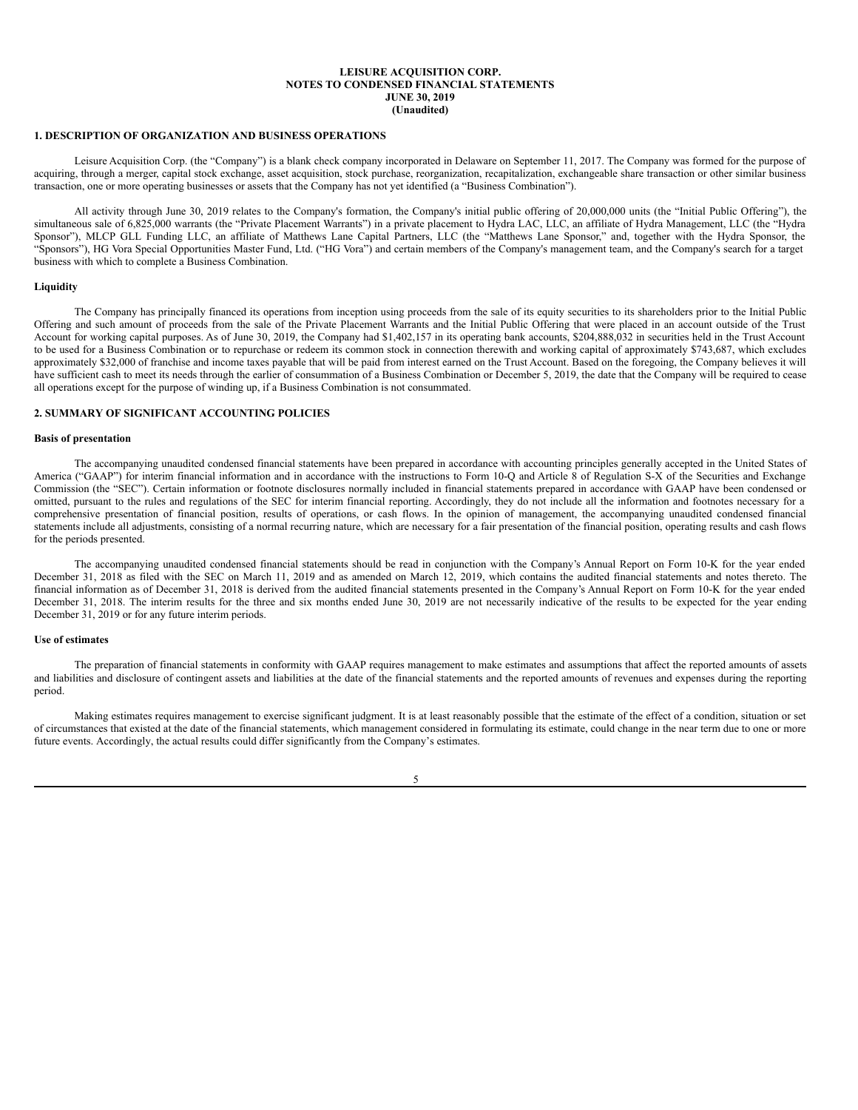## **1. DESCRIPTION OF ORGANIZATION AND BUSINESS OPERATIONS**

Leisure Acquisition Corp. (the "Company") is a blank check company incorporated in Delaware on September 11, 2017. The Company was formed for the purpose of acquiring, through a merger, capital stock exchange, asset acquisition, stock purchase, reorganization, recapitalization, exchangeable share transaction or other similar business transaction, one or more operating businesses or assets that the Company has not yet identified (a "Business Combination").

All activity through June 30, 2019 relates to the Company's formation, the Company's initial public offering of 20,000,000 units (the "Initial Public Offering"), the simultaneous sale of 6,825,000 warrants (the "Private Placement Warrants") in a private placement to Hydra LAC, LLC, an affiliate of Hydra Management, LLC (the "Hydra Sponsor"), MLCP GLL Funding LLC, an affiliate of Matthews Lane Capital Partners, LLC (the "Matthews Lane Sponsor," and, together with the Hydra Sponsor, the "Sponsors"), HG Vora Special Opportunities Master Fund, Ltd. ("HG Vora") and certain members of the Company's management team, and the Company's search for a target business with which to complete a Business Combination.

## **Liquidity**

The Company has principally financed its operations from inception using proceeds from the sale of its equity securities to its shareholders prior to the Initial Public Offering and such amount of proceeds from the sale of the Private Placement Warrants and the Initial Public Offering that were placed in an account outside of the Trust Account for working capital purposes. As of June 30, 2019, the Company had \$1,402,157 in its operating bank accounts, \$204,888,032 in securities held in the Trust Account to be used for a Business Combination or to repurchase or redeem its common stock in connection therewith and working capital of approximately \$743,687, which excludes approximately \$32,000 of franchise and income taxes payable that will be paid from interest earned on the Trust Account. Based on the foregoing, the Company believes it will have sufficient cash to meet its needs through the earlier of consummation of a Business Combination or December 5, 2019, the date that the Company will be required to cease all operations except for the purpose of winding up, if a Business Combination is not consummated.

## **2. SUMMARY OF SIGNIFICANT ACCOUNTING POLICIES**

## **Basis of presentation**

The accompanying unaudited condensed financial statements have been prepared in accordance with accounting principles generally accepted in the United States of America ("GAAP") for interim financial information and in accordance with the instructions to Form 10-Q and Article 8 of Regulation S-X of the Securities and Exchange Commission (the "SEC"). Certain information or footnote disclosures normally included in financial statements prepared in accordance with GAAP have been condensed or omitted, pursuant to the rules and regulations of the SEC for interim financial reporting. Accordingly, they do not include all the information and footnotes necessary for a comprehensive presentation of financial position, results of operations, or cash flows. In the opinion of management, the accompanying unaudited condensed financial statements include all adjustments, consisting of a normal recurring nature, which are necessary for a fair presentation of the financial position, operating results and cash flows for the periods presented.

The accompanying unaudited condensed financial statements should be read in conjunction with the Company's Annual Report on Form 10-K for the year ended December 31, 2018 as filed with the SEC on March 11, 2019 and as amended on March 12, 2019, which contains the audited financial statements and notes thereto. The financial information as of December 31, 2018 is derived from the audited financial statements presented in the Company's Annual Report on Form 10-K for the year ended December 31, 2018. The interim results for the three and six months ended June 30, 2019 are not necessarily indicative of the results to be expected for the year ending December 31, 2019 or for any future interim periods.

### **Use of estimates**

The preparation of financial statements in conformity with GAAP requires management to make estimates and assumptions that affect the reported amounts of assets and liabilities and disclosure of contingent assets and liabilities at the date of the financial statements and the reported amounts of revenues and expenses during the reporting period.

Making estimates requires management to exercise significant judgment. It is at least reasonably possible that the estimate of the effect of a condition, situation or set of circumstances that existed at the date of the financial statements, which management considered in formulating its estimate, could change in the near term due to one or more future events. Accordingly, the actual results could differ significantly from the Company's estimates.

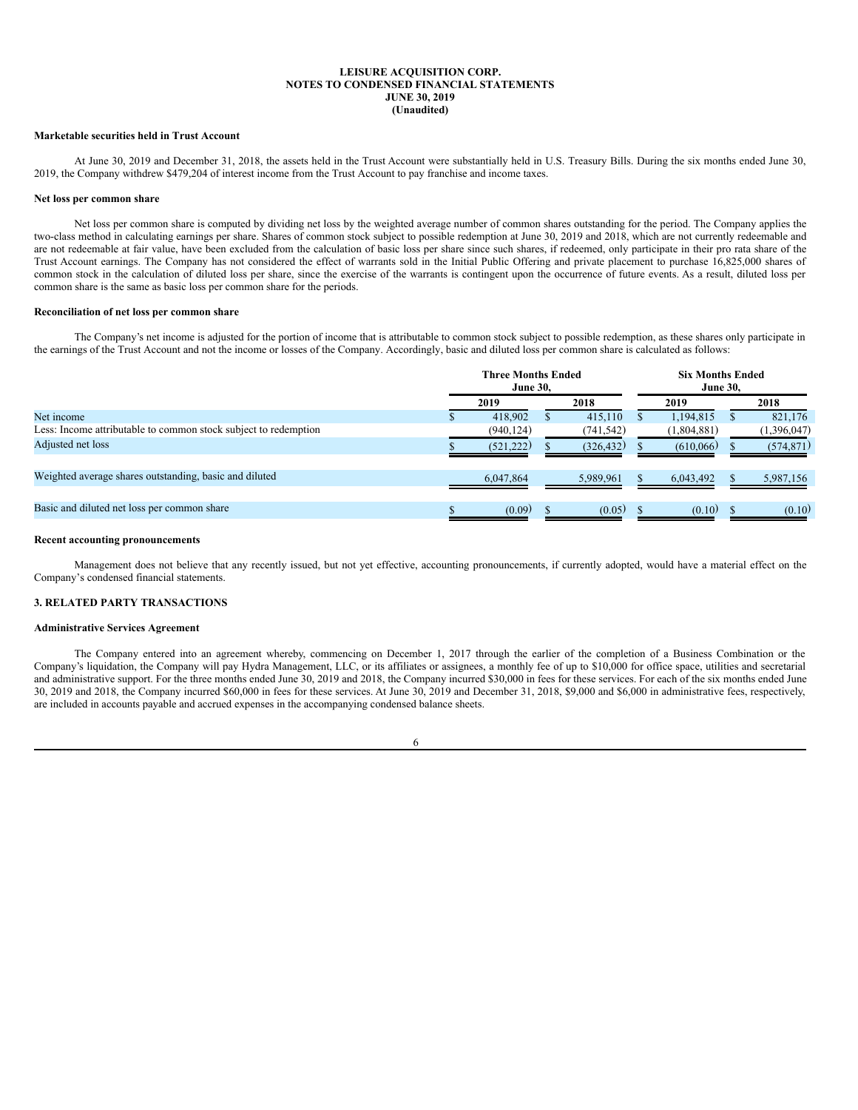### **Marketable securities held in Trust Account**

At June 30, 2019 and December 31, 2018, the assets held in the Trust Account were substantially held in U.S. Treasury Bills. During the six months ended June 30, 2019, the Company withdrew \$479,204 of interest income from the Trust Account to pay franchise and income taxes.

#### **Net loss per common share**

Net loss per common share is computed by dividing net loss by the weighted average number of common shares outstanding for the period. The Company applies the two-class method in calculating earnings per share. Shares of common stock subject to possible redemption at June 30, 2019 and 2018, which are not currently redeemable and are not redeemable at fair value, have been excluded from the calculation of basic loss per share since such shares, if redeemed, only participate in their pro rata share of the Trust Account earnings. The Company has not considered the effect of warrants sold in the Initial Public Offering and private placement to purchase 16,825,000 shares of common stock in the calculation of diluted loss per share, since the exercise of the warrants is contingent upon the occurrence of future events. As a result, diluted loss per common share is the same as basic loss per common share for the periods.

### **Reconciliation of net loss per common share**

The Company's net income is adjusted for the portion of income that is attributable to common stock subject to possible redemption, as these shares only participate in the earnings of the Trust Account and not the income or losses of the Company. Accordingly, basic and diluted loss per common share is calculated as follows:

|                                                                 | <b>Three Months Ended</b><br><b>June 30,</b> |            |  | <b>Six Months Ended</b><br><b>June 30,</b> |  |             |  |             |
|-----------------------------------------------------------------|----------------------------------------------|------------|--|--------------------------------------------|--|-------------|--|-------------|
|                                                                 |                                              | 2019       |  | 2018                                       |  | 2019        |  | 2018        |
| Net income                                                      |                                              | 418,902    |  | 415,110                                    |  | 1,194,815   |  | 821,176     |
| Less: Income attributable to common stock subject to redemption |                                              | (940, 124) |  | (741, 542)                                 |  | (1,804,881) |  | (1,396,047) |
| Adjusted net loss                                               |                                              | (521, 222) |  | (326, 432)                                 |  | (610,066)   |  | (574, 871)  |
| Weighted average shares outstanding, basic and diluted          |                                              | 6,047,864  |  | 5.989.961                                  |  | 6,043,492   |  | 5,987,156   |
| Basic and diluted net loss per common share                     |                                              | (0.09)     |  | (0.05)                                     |  | (0.10)      |  | (0.10)      |

### **Recent accounting pronouncements**

Management does not believe that any recently issued, but not yet effective, accounting pronouncements, if currently adopted, would have a material effect on the Company's condensed financial statements.

## **3. RELATED PARTY TRANSACTIONS**

#### **Administrative Services Agreement**

The Company entered into an agreement whereby, commencing on December 1, 2017 through the earlier of the completion of a Business Combination or the Company's liquidation, the Company will pay Hydra Management, LLC, or its affiliates or assignees, a monthly fee of up to \$10,000 for office space, utilities and secretarial and administrative support. For the three months ended June 30, 2019 and 2018, the Company incurred \$30,000 in fees for these services. For each of the six months ended June 30, 2019 and 2018, the Company incurred \$60,000 in fees for these services. At June 30, 2019 and December 31, 2018, \$9,000 and \$6,000 in administrative fees, respectively, are included in accounts payable and accrued expenses in the accompanying condensed balance sheets.

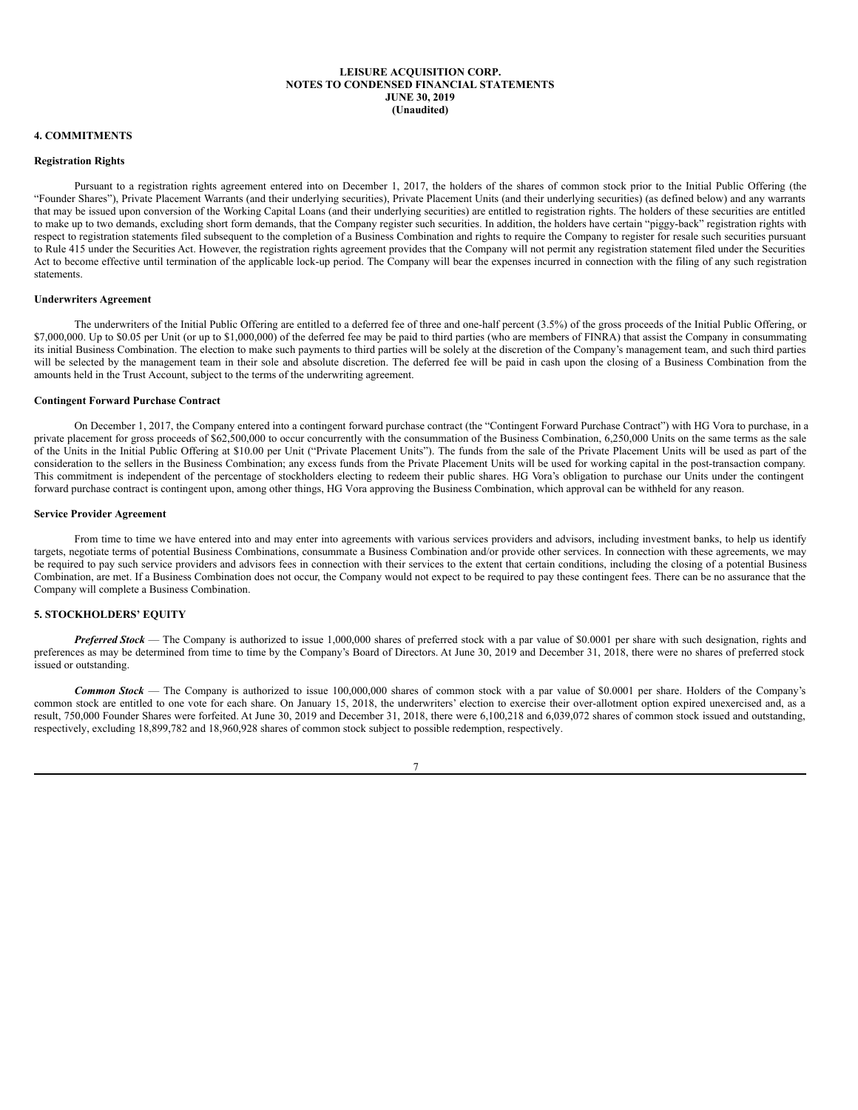## **4. COMMITMENTS**

## **Registration Rights**

Pursuant to a registration rights agreement entered into on December 1, 2017, the holders of the shares of common stock prior to the Initial Public Offering (the "Founder Shares"), Private Placement Warrants (and their underlying securities), Private Placement Units (and their underlying securities) (as defined below) and any warrants that may be issued upon conversion of the Working Capital Loans (and their underlying securities) are entitled to registration rights. The holders of these securities are entitled to make up to two demands, excluding short form demands, that the Company register such securities. In addition, the holders have certain "piggy-back" registration rights with respect to registration statements filed subsequent to the completion of a Business Combination and rights to require the Company to register for resale such securities pursuant to Rule 415 under the Securities Act. However, the registration rights agreement provides that the Company will not permit any registration statement filed under the Securities Act to become effective until termination of the applicable lock-up period. The Company will bear the expenses incurred in connection with the filing of any such registration statements.

### **Underwriters Agreement**

The underwriters of the Initial Public Offering are entitled to a deferred fee of three and one-half percent (3.5%) of the gross proceeds of the Initial Public Offering, or \$7,000,000. Up to \$0.05 per Unit (or up to \$1,000,000) of the deferred fee may be paid to third parties (who are members of FINRA) that assist the Company in consummating its initial Business Combination. The election to make such payments to third parties will be solely at the discretion of the Company's management team, and such third parties will be selected by the management team in their sole and absolute discretion. The deferred fee will be paid in cash upon the closing of a Business Combination from the amounts held in the Trust Account, subject to the terms of the underwriting agreement.

### **Contingent Forward Purchase Contract**

On December 1, 2017, the Company entered into a contingent forward purchase contract (the "Contingent Forward Purchase Contract") with HG Vora to purchase, in a private placement for gross proceeds of \$62,500,000 to occur concurrently with the consummation of the Business Combination, 6,250,000 Units on the same terms as the sale of the Units in the Initial Public Offering at \$10.00 per Unit ("Private Placement Units"). The funds from the sale of the Private Placement Units will be used as part of the consideration to the sellers in the Business Combination; any excess funds from the Private Placement Units will be used for working capital in the post-transaction company. This commitment is independent of the percentage of stockholders electing to redeem their public shares. HG Vora's obligation to purchase our Units under the contingent forward purchase contract is contingent upon, among other things, HG Vora approving the Business Combination, which approval can be withheld for any reason.

## **Service Provider Agreement**

From time to time we have entered into and may enter into agreements with various services providers and advisors, including investment banks, to help us identify targets, negotiate terms of potential Business Combinations, consummate a Business Combination and/or provide other services. In connection with these agreements, we may be required to pay such service providers and advisors fees in connection with their services to the extent that certain conditions, including the closing of a potential Business Combination, are met. If a Business Combination does not occur, the Company would not expect to be required to pay these contingent fees. There can be no assurance that the Company will complete a Business Combination.

### **5. STOCKHOLDERS' EQUITY**

*Preferred Stock* — The Company is authorized to issue 1,000,000 shares of preferred stock with a par value of \$0.0001 per share with such designation, rights and preferences as may be determined from time to time by the Company's Board of Directors. At June 30, 2019 and December 31, 2018, there were no shares of preferred stock issued or outstanding.

*Common Stock* — The Company is authorized to issue 100,000,000 shares of common stock with a par value of \$0.0001 per share. Holders of the Company's common stock are entitled to one vote for each share. On January 15, 2018, the underwriters' election to exercise their over-allotment option expired unexercised and, as a result, 750,000 Founder Shares were forfeited. At June 30, 2019 and December 31, 2018, there were 6,100,218 and 6,039,072 shares of common stock issued and outstanding, respectively, excluding 18,899,782 and 18,960,928 shares of common stock subject to possible redemption, respectively.

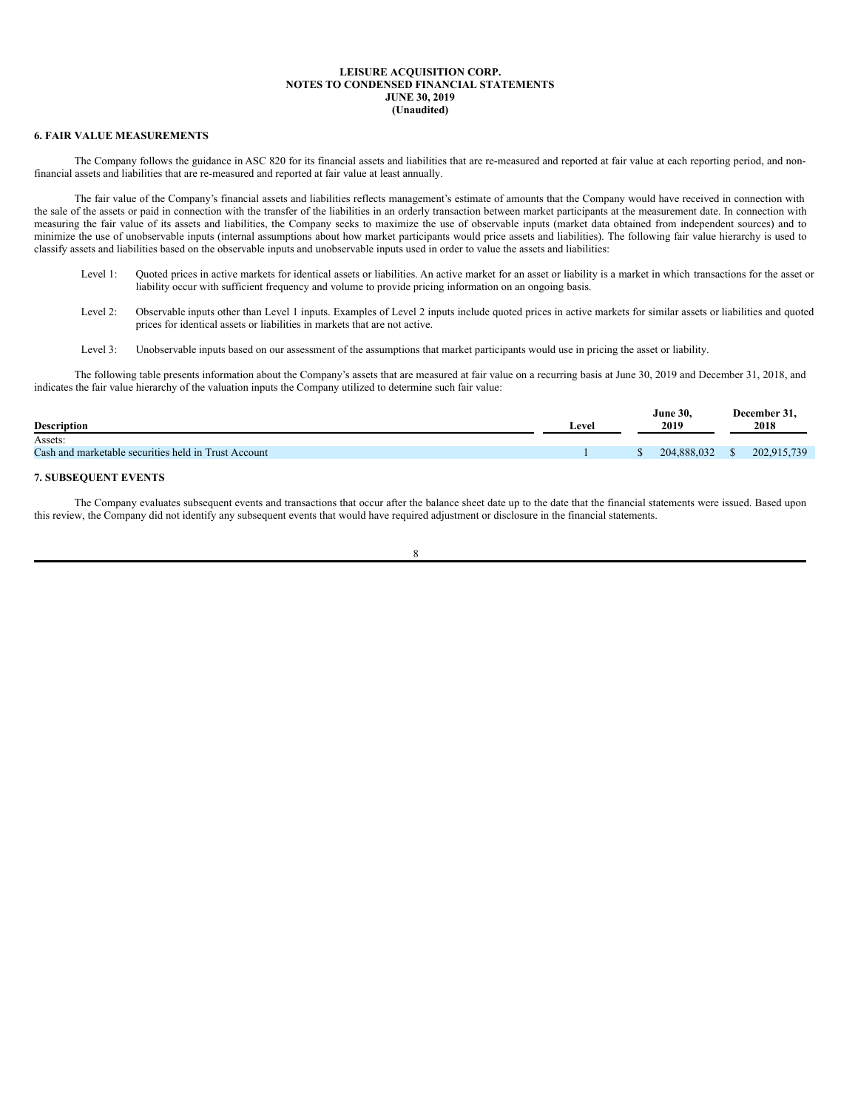## **6. FAIR VALUE MEASUREMENTS**

The Company follows the guidance in ASC 820 for its financial assets and liabilities that are re-measured and reported at fair value at each reporting period, and nonfinancial assets and liabilities that are re-measured and reported at fair value at least annually.

The fair value of the Company's financial assets and liabilities reflects management's estimate of amounts that the Company would have received in connection with the sale of the assets or paid in connection with the transfer of the liabilities in an orderly transaction between market participants at the measurement date. In connection with measuring the fair value of its assets and liabilities, the Company seeks to maximize the use of observable inputs (market data obtained from independent sources) and to minimize the use of unobservable inputs (internal assumptions about how market participants would price assets and liabilities). The following fair value hierarchy is used to classify assets and liabilities based on the observable inputs and unobservable inputs used in order to value the assets and liabilities:

- Level 1: Ouoted prices in active markets for identical assets or liabilities. An active market for an asset or liability is a market in which transactions for the asset or liability occur with sufficient frequency and volume to provide pricing information on an ongoing basis.
- Level 2: Observable inputs other than Level 1 inputs. Examples of Level 2 inputs include quoted prices in active markets for similar assets or liabilities and quoted prices for identical assets or liabilities in markets that are not active.
- Level 3: Unobservable inputs based on our assessment of the assumptions that market participants would use in pricing the asset or liability.

The following table presents information about the Company's assets that are measured at fair value on a recurring basis at June 30, 2019 and December 31, 2018, and indicates the fair value hierarchy of the valuation inputs the Company utilized to determine such fair value:

| <b>Description</b>                                   | Level | <b>June 30.</b><br>2019 | December 31,<br>2018 |
|------------------------------------------------------|-------|-------------------------|----------------------|
| Assets:                                              |       |                         |                      |
| Cash and marketable securities held in Trust Account |       | 204,888,032             | 202,915,739          |
|                                                      |       |                         |                      |

## **7. SUBSEQUENT EVENTS**

The Company evaluates subsequent events and transactions that occur after the balance sheet date up to the date that the financial statements were issued. Based upon this review, the Company did not identify any subsequent events that would have required adjustment or disclosure in the financial statements.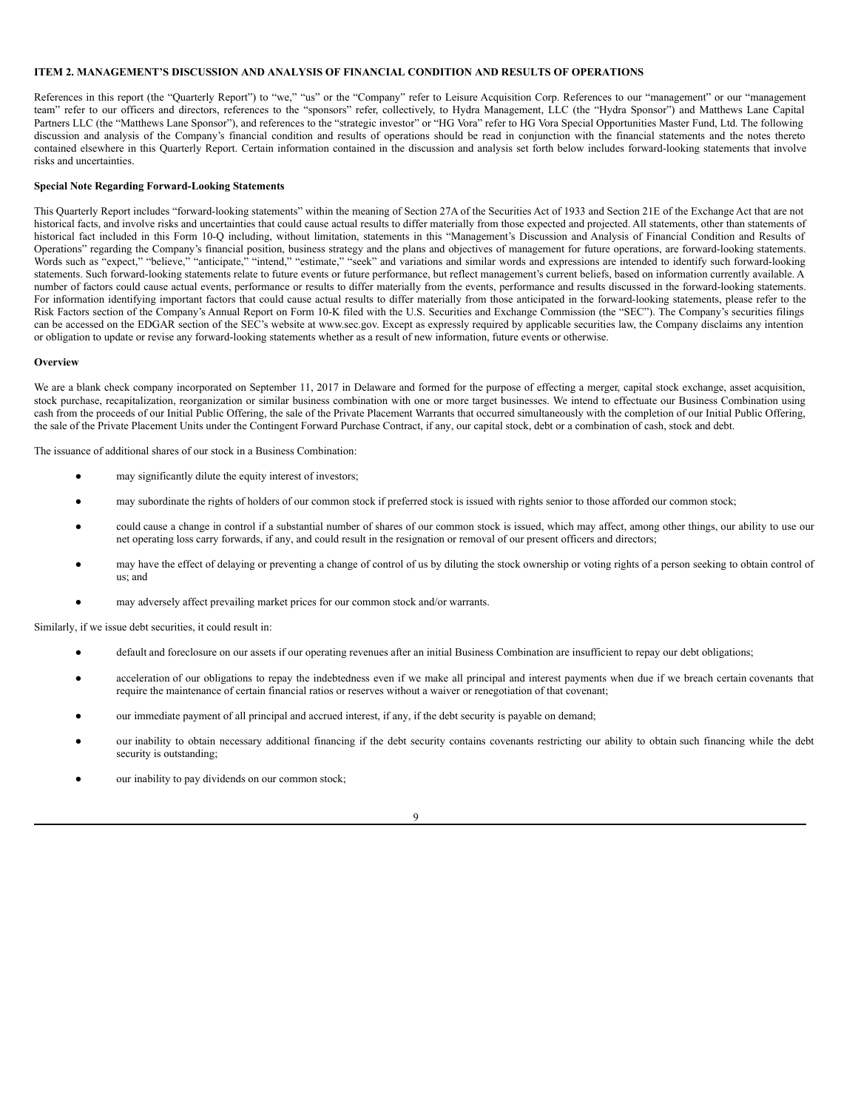### **ITEM 2. MANAGEMENT'S DISCUSSION AND ANALYSIS OF FINANCIAL CONDITION AND RESULTS OF OPERATIONS**

References in this report (the "Quarterly Report") to "we," "us" or the "Company" refer to Leisure Acquisition Corp. References to our "management" or our "management team" refer to our officers and directors, references to the "sponsors" refer, collectively, to Hydra Management, LLC (the "Hydra Sponsor") and Matthews Lane Capital Partners LLC (the "Matthews Lane Sponsor"), and references to the "strategic investor" or "HG Vora" refer to HG Vora Special Opportunities Master Fund, Ltd. The following discussion and analysis of the Company's financial condition and results of operations should be read in conjunction with the financial statements and the notes thereto contained elsewhere in this Quarterly Report. Certain information contained in the discussion and analysis set forth below includes forward-looking statements that involve risks and uncertainties.

## **Special Note Regarding Forward-Looking Statements**

This Quarterly Report includes "forward-looking statements" within the meaning of Section 27A of the Securities Act of 1933 and Section 21E of the Exchange Act that are not historical facts, and involve risks and uncertainties that could cause actual results to differ materially from those expected and projected. All statements, other than statements of historical fact included in this Form 10-Q including, without limitation, statements in this "Management's Discussion and Analysis of Financial Condition and Results of Operations" regarding the Company's financial position, business strategy and the plans and objectives of management for future operations, are forward-looking statements. Words such as "expect," "believe," "anticipate," "intend," "estimate," "seek" and variations and similar words and expressions are intended to identify such forward-looking statements. Such forward-looking statements relate to future events or future performance, but reflect management's current beliefs, based on information currently available. A number of factors could cause actual events, performance or results to differ materially from the events, performance and results discussed in the forward-looking statements. For information identifying important factors that could cause actual results to differ materially from those anticipated in the forward-looking statements, please refer to the Risk Factors section of the Company's Annual Report on Form 10-K filed with the U.S. Securities and Exchange Commission (the "SEC"). The Company's securities filings can be accessed on the EDGAR section of the SEC's website at www.sec.gov. Except as expressly required by applicable securities law, the Company disclaims any intention or obligation to update or revise any forward-looking statements whether as a result of new information, future events or otherwise.

### **Overview**

We are a blank check company incorporated on September 11, 2017 in Delaware and formed for the purpose of effecting a merger, capital stock exchange, asset acquisition, stock purchase, recapitalization, reorganization or similar business combination with one or more target businesses. We intend to effectuate our Business Combination using cash from the proceeds of our Initial Public Offering, the sale of the Private Placement Warrants that occurred simultaneously with the completion of our Initial Public Offering, the sale of the Private Placement Units under the Contingent Forward Purchase Contract, if any, our capital stock, debt or a combination of cash, stock and debt.

The issuance of additional shares of our stock in a Business Combination:

- may significantly dilute the equity interest of investors;
- may subordinate the rights of holders of our common stock if preferred stock is issued with rights senior to those afforded our common stock;
- could cause a change in control if a substantial number of shares of our common stock is issued, which may affect, among other things, our ability to use our net operating loss carry forwards, if any, and could result in the resignation or removal of our present officers and directors;
- may have the effect of delaying or preventing a change of control of us by diluting the stock ownership or voting rights of a person seeking to obtain control of us; and
- may adversely affect prevailing market prices for our common stock and/or warrants.

Similarly, if we issue debt securities, it could result in:

- default and foreclosure on our assets if our operating revenues after an initial Business Combination are insufficient to repay our debt obligations;
- acceleration of our obligations to repay the indebtedness even if we make all principal and interest payments when due if we breach certain covenants that require the maintenance of certain financial ratios or reserves without a waiver or renegotiation of that covenant;
- our immediate payment of all principal and accrued interest, if any, if the debt security is payable on demand;
- our inability to obtain necessary additional financing if the debt security contains covenants restricting our ability to obtain such financing while the debt security is outstanding;
- our inability to pay dividends on our common stock;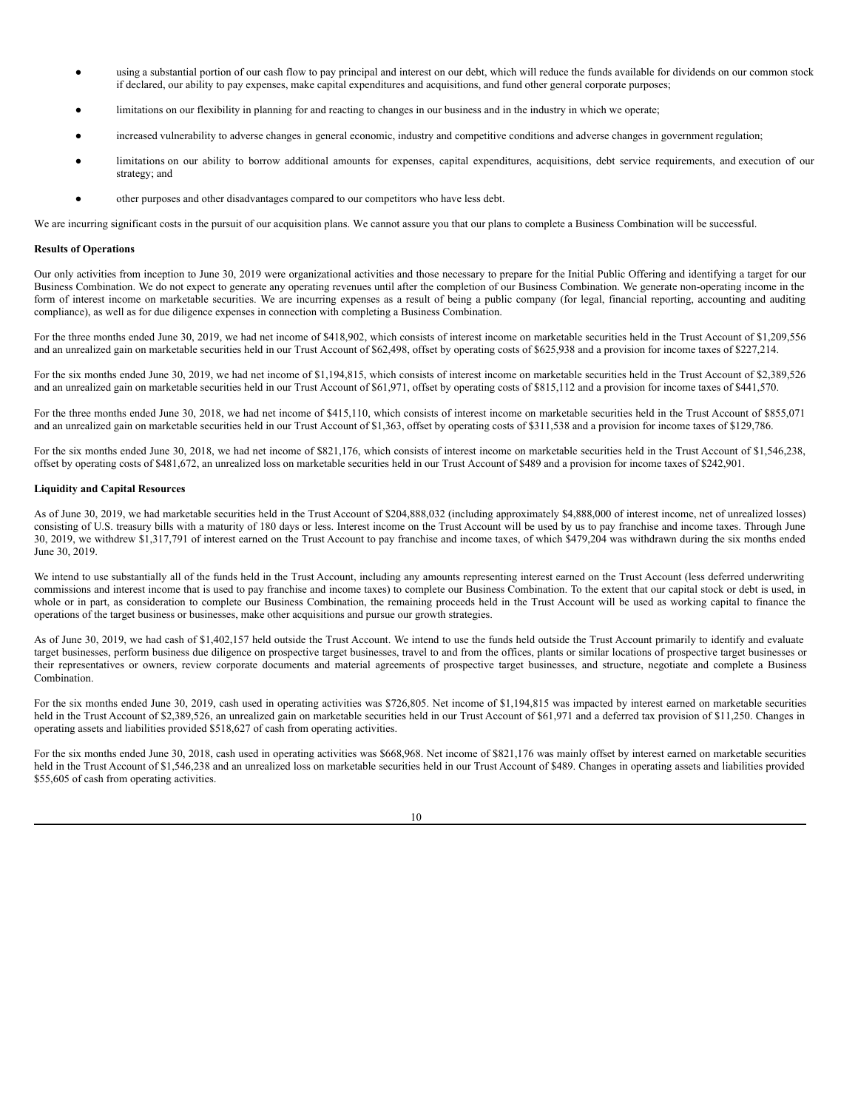- using a substantial portion of our cash flow to pay principal and interest on our debt, which will reduce the funds available for dividends on our common stock if declared, our ability to pay expenses, make capital expenditures and acquisitions, and fund other general corporate purposes;
- limitations on our flexibility in planning for and reacting to changes in our business and in the industry in which we operate;
- increased vulnerability to adverse changes in general economic, industry and competitive conditions and adverse changes in government regulation;
- limitations on our ability to borrow additional amounts for expenses, capital expenditures, acquisitions, debt service requirements, and execution of our strategy; and
- other purposes and other disadvantages compared to our competitors who have less debt.

We are incurring significant costs in the pursuit of our acquisition plans. We cannot assure you that our plans to complete a Business Combination will be successful.

### **Results of Operations**

Our only activities from inception to June 30, 2019 were organizational activities and those necessary to prepare for the Initial Public Offering and identifying a target for our Business Combination. We do not expect to generate any operating revenues until after the completion of our Business Combination. We generate non-operating income in the form of interest income on marketable securities. We are incurring expenses as a result of being a public company (for legal, financial reporting, accounting and auditing compliance), as well as for due diligence expenses in connection with completing a Business Combination.

For the three months ended June 30, 2019, we had net income of \$418,902, which consists of interest income on marketable securities held in the Trust Account of \$1,209,556 and an unrealized gain on marketable securities held in our Trust Account of \$62,498, offset by operating costs of \$625,938 and a provision for income taxes of \$227,214.

For the six months ended June 30, 2019, we had net income of \$1,194,815, which consists of interest income on marketable securities held in the Trust Account of \$2,389,526 and an unrealized gain on marketable securities held in our Trust Account of \$61,971, offset by operating costs of \$815,112 and a provision for income taxes of \$441,570.

For the three months ended June 30, 2018, we had net income of \$415,110, which consists of interest income on marketable securities held in the Trust Account of \$855,071 and an unrealized gain on marketable securities held in our Trust Account of \$1,363, offset by operating costs of \$311,538 and a provision for income taxes of \$129,786.

For the six months ended June 30, 2018, we had net income of \$821,176, which consists of interest income on marketable securities held in the Trust Account of \$1,546,238, offset by operating costs of \$481,672, an unrealized loss on marketable securities held in our Trust Account of \$489 and a provision for income taxes of \$242,901.

### **Liquidity and Capital Resources**

As of June 30, 2019, we had marketable securities held in the Trust Account of \$204,888,032 (including approximately \$4,888,000 of interest income, net of unrealized losses) consisting of U.S. treasury bills with a maturity of 180 days or less. Interest income on the Trust Account will be used by us to pay franchise and income taxes. Through June 30, 2019, we withdrew \$1,317,791 of interest earned on the Trust Account to pay franchise and income taxes, of which \$479,204 was withdrawn during the six months ended June 30, 2019.

We intend to use substantially all of the funds held in the Trust Account, including any amounts representing interest earned on the Trust Account (less deferred underwriting commissions and interest income that is used to pay franchise and income taxes) to complete our Business Combination. To the extent that our capital stock or debt is used, in whole or in part, as consideration to complete our Business Combination, the remaining proceeds held in the Trust Account will be used as working capital to finance the operations of the target business or businesses, make other acquisitions and pursue our growth strategies.

As of June 30, 2019, we had cash of \$1,402,157 held outside the Trust Account. We intend to use the funds held outside the Trust Account primarily to identify and evaluate target businesses, perform business due diligence on prospective target businesses, travel to and from the offices, plants or similar locations of prospective target businesses or their representatives or owners, review corporate documents and material agreements of prospective target businesses, and structure, negotiate and complete a Business Combination.

For the six months ended June 30, 2019, cash used in operating activities was \$726,805. Net income of \$1,194,815 was impacted by interest earned on marketable securities held in the Trust Account of \$2,389,526, an unrealized gain on marketable securities held in our Trust Account of \$61,971 and a deferred tax provision of \$11,250. Changes in operating assets and liabilities provided \$518,627 of cash from operating activities.

For the six months ended June 30, 2018, cash used in operating activities was \$668,968. Net income of \$821,176 was mainly offset by interest earned on marketable securities held in the Trust Account of \$1,546,238 and an unrealized loss on marketable securities held in our Trust Account of \$489. Changes in operating assets and liabilities provided \$55,605 of cash from operating activities.

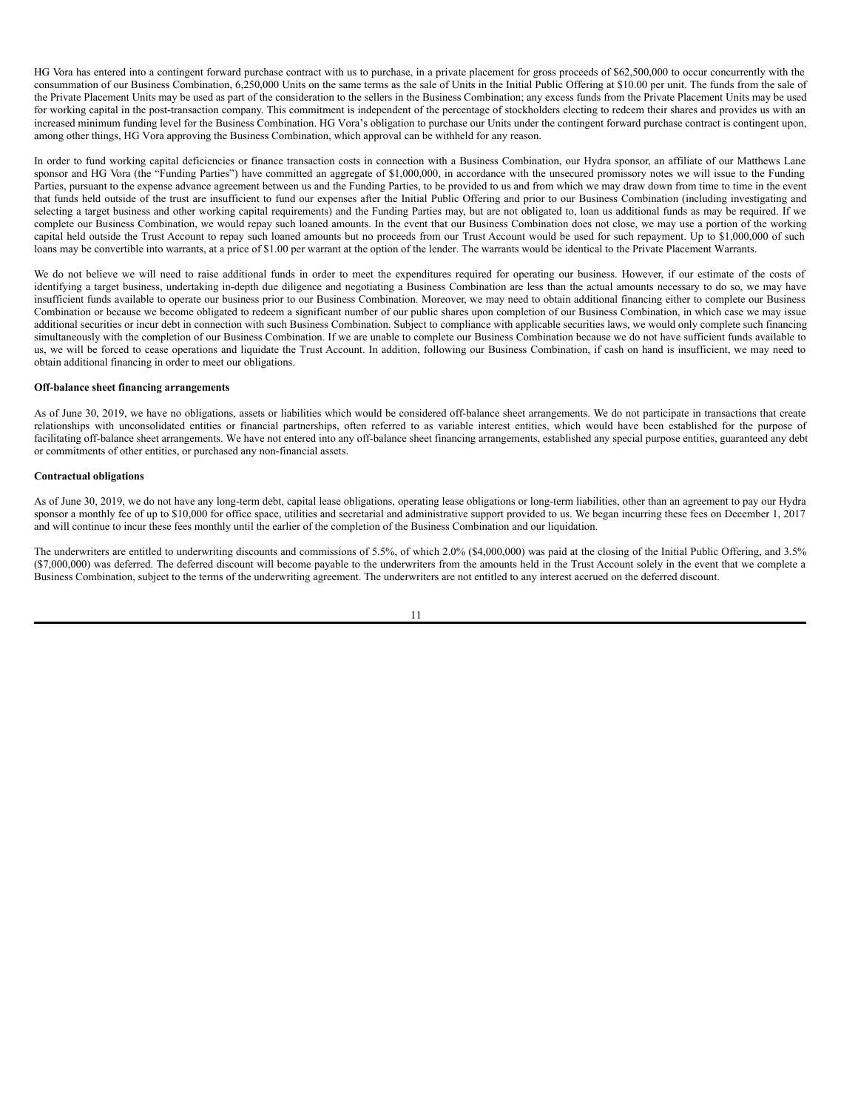HG Vora has entered into a contingent forward purchase contract with us to purchase, in a private placement for gross proceeds of \$62,500,000 to occur concurrently with the consummation of our Business Combination, 6,250,000 Units on the same terms as the sale of Units in the Initial Public Offering at \$10.00 per unit. The funds from the sale of the Private Placement Units may be used as part of the consideration to the sellers in the Business Combination; any excess funds from the Private Placement Units may be used for working capital in the post-transaction company. This commitment is independent of the percentage of stockholders electing to redeem their shares and provides us with an increased minimum funding level for the Business Combination. HG Vora's obligation to purchase our Units under the contingent forward purchase contract is contingent upon, among other things, HG Vora approving the Business Combination, which approval can be withheld for any reason.

In order to fund working capital deficiencies or finance transaction costs in connection with a Business Combination, our Hydra sponsor, an affiliate of our Matthews Lane sponsor and HG Vora (the "Funding Parties") have committed an aggregate of \$1,000,000, in accordance with the unsecured promissory notes we will issue to the Funding Parties, pursuant to the expense advance agreement between us and the Funding Parties, to be provided to us and from which we may draw down from time to time in the event that funds held outside of the trust are insufficient to fund our expenses after the Initial Public Offering and prior to our Business Combination (including investigating and selecting a target business and other working capital requirements) and the Funding Parties may, but are not obligated to, loan us additional funds as may be required. If we complete our Business Combination, we would repay such loaned amounts. In the event that our Business Combination does not close, we may use a portion of the working capital held outside the Trust Account to repay such loaned amounts but no proceeds from our Trust Account would be used for such repayment. Up to \$1,000,000 of such loans may be convertible into warrants, at a price of \$1.00 per warrant at the option of the lender. The warrants would be identical to the Private Placement Warrants.

We do not believe we will need to raise additional funds in order to meet the expenditures required for operating our business. However, if our estimate of the costs of identifying a target business, undertaking in-depth due diligence and negotiating a Business Combination are less than the actual amounts necessary to do so, we may have insufficient funds available to operate our business prior to our Business Combination. Moreover, we may need to obtain additional financing either to complete our Business Combination or because we become obligated to redeem a significant number of our public shares upon completion of our Business Combination, in which case we may issue additional securities or incur debt in connection with such Business Combination. Subject to compliance with applicable securities laws, we would only complete such financing simultaneously with the completion of our Business Combination. If we are unable to complete our Business Combination because we do not have sufficient funds available to us, we will be forced to cease operations and liquidate the Trust Account. In addition, following our Business Combination, if cash on hand is insufficient, we may need to obtain additional financing in order to meet our obligations.

### **Off-balance sheet financing arrangements**

As of June 30, 2019, we have no obligations, assets or liabilities which would be considered off-balance sheet arrangements. We do not participate in transactions that create relationships with unconsolidated entities or financial partnerships, often referred to as variable interest entities, which would have been established for the purpose of facilitating off-balance sheet arrangements. We have not entered into any off-balance sheet financing arrangements, established any special purpose entities, guaranteed any debt or commitments of other entities, or purchased any non-financial assets.

### **Contractual obligations**

As of June 30, 2019, we do not have any long-term debt, capital lease obligations, operating lease obligations or long-term liabilities, other than an agreement to pay our Hydra sponsor a monthly fee of up to \$10,000 for office space, utilities and secretarial and administrative support provided to us. We began incurring these fees on December 1, 2017 and will continue to incur these fees monthly until the earlier of the completion of the Business Combination and our liquidation.

The underwriters are entitled to underwriting discounts and commissions of 5.5%, of which 2.0% (\$4,000,000) was paid at the closing of the Initial Public Offering, and 3.5% (\$7,000,000) was deferred. The deferred discount will become payable to the underwriters from the amounts held in the Trust Account solely in the event that we complete a Business Combination, subject to the terms of the underwriting agreement. The underwriters are not entitled to any interest accrued on the deferred discount.

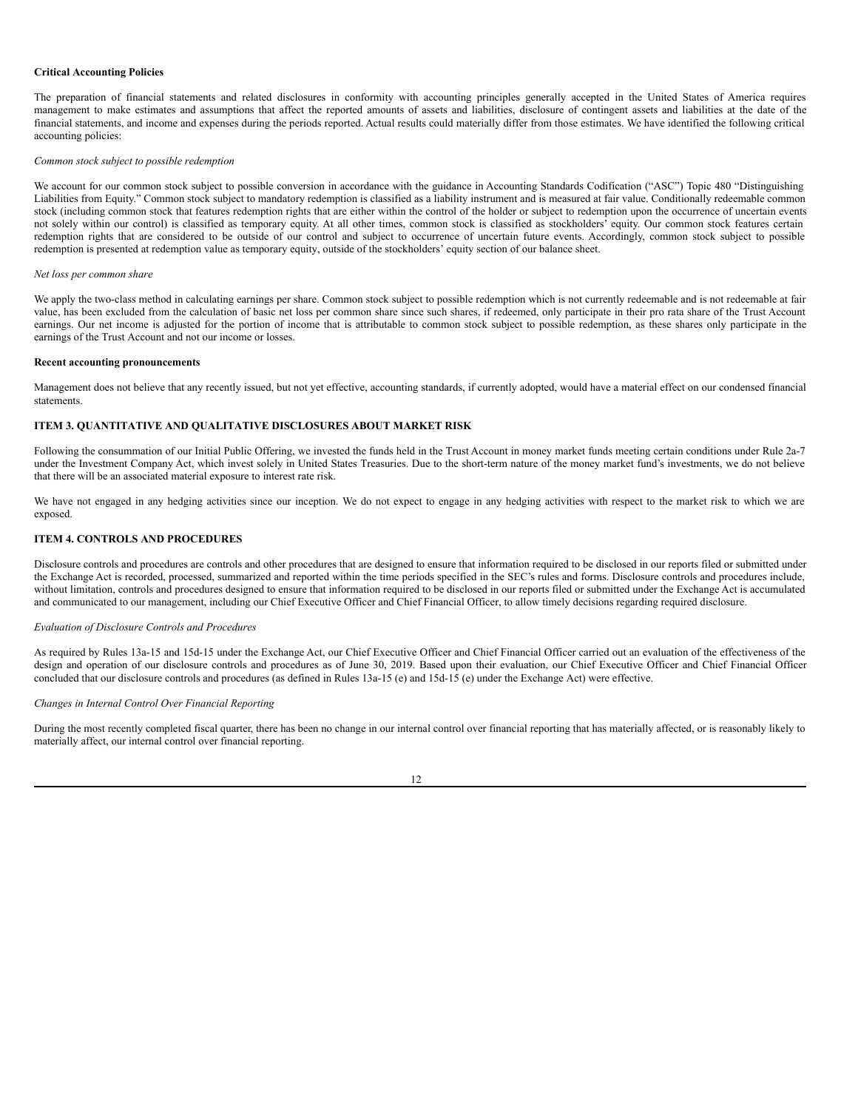### **Critical Accounting Policies**

The preparation of financial statements and related disclosures in conformity with accounting principles generally accepted in the United States of America requires management to make estimates and assumptions that affect the reported amounts of assets and liabilities, disclosure of contingent assets and liabilities at the date of the financial statements, and income and expenses during the periods reported. Actual results could materially differ from those estimates. We have identified the following critical accounting policies:

#### *Common stock subject to possible redemption*

We account for our common stock subject to possible conversion in accordance with the guidance in Accounting Standards Codification ("ASC") Topic 480 "Distinguishing Liabilities from Equity." Common stock subject to mandatory redemption is classified as a liability instrument and is measured at fair value. Conditionally redeemable common stock (including common stock that features redemption rights that are either within the control of the holder or subject to redemption upon the occurrence of uncertain events not solely within our control) is classified as temporary equity. At all other times, common stock is classified as stockholders<sup>5</sup> equity. Our common stock features certain redemption rights that are considered to be outside of our control and subject to occurrence of uncertain future events. Accordingly, common stock subject to possible redemption is presented at redemption value as temporary equity, outside of the stockholders' equity section of our balance sheet.

#### *Net loss per common share*

We apply the two-class method in calculating earnings per share. Common stock subject to possible redemption which is not currently redeemable and is not redeemable at fair value, has been excluded from the calculation of basic net loss per common share since such shares, if redeemed, only participate in their pro rata share of the Trust Account earnings. Our net income is adjusted for the portion of income that is attributable to common stock subject to possible redemption, as these shares only participate in the earnings of the Trust Account and not our income or losses.

### **Recent accounting pronouncements**

Management does not believe that any recently issued, but not yet effective, accounting standards, if currently adopted, would have a material effect on our condensed financial statements.

## **ITEM 3. QUANTITATIVE AND QUALITATIVE DISCLOSURES ABOUT MARKET RISK**

Following the consummation of our Initial Public Offering, we invested the funds held in the Trust Account in money market funds meeting certain conditions under Rule 2a-7 under the Investment Company Act, which invest solely in United States Treasuries. Due to the short-term nature of the money market fund's investments, we do not believe that there will be an associated material exposure to interest rate risk.

We have not engaged in any hedging activities since our inception. We do not expect to engage in any hedging activities with respect to the market risk to which we are exposed.

## **ITEM 4. CONTROLS AND PROCEDURES**

Disclosure controls and procedures are controls and other procedures that are designed to ensure that information required to be disclosed in our reports filed or submitted under the Exchange Act is recorded, processed, summarized and reported within the time periods specified in the SEC's rules and forms. Disclosure controls and procedures include, without limitation, controls and procedures designed to ensure that information required to be disclosed in our reports filed or submitted under the Exchange Act is accumulated and communicated to our management, including our Chief Executive Officer and Chief Financial Officer, to allow timely decisions regarding required disclosure.

#### *Evaluation of Disclosure Controls and Procedures*

As required by Rules 13a-15 and 15d-15 under the Exchange Act, our Chief Executive Officer and Chief Financial Officer carried out an evaluation of the effectiveness of the design and operation of our disclosure controls and procedures as of June 30, 2019. Based upon their evaluation, our Chief Executive Officer and Chief Financial Officer concluded that our disclosure controls and procedures (as defined in Rules 13a-15 (e) and 15d-15 (e) under the Exchange Act) were effective.

## *Changes in Internal Control Over Financial Reporting*

During the most recently completed fiscal quarter, there has been no change in our internal control over financial reporting that has materially affected, or is reasonably likely to materially affect, our internal control over financial reporting.

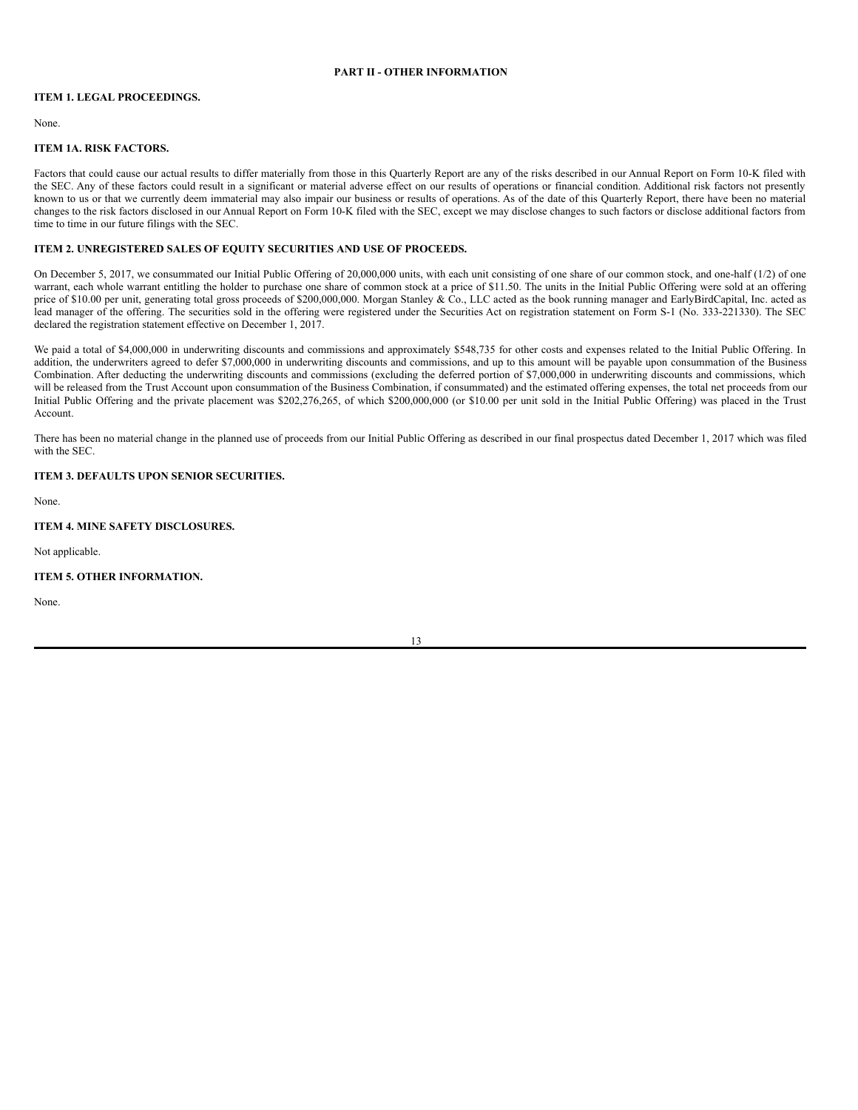## **PART II - OTHER INFORMATION**

## **ITEM 1. LEGAL PROCEEDINGS.**

None.

## **ITEM 1A. RISK FACTORS.**

Factors that could cause our actual results to differ materially from those in this Quarterly Report are any of the risks described in our Annual Report on Form 10-K filed with the SEC. Any of these factors could result in a significant or material adverse effect on our results of operations or financial condition. Additional risk factors not presently known to us or that we currently deem immaterial may also impair our business or results of operations. As of the date of this Quarterly Report, there have been no material changes to the risk factors disclosed in our Annual Report on Form 10-K filed with the SEC, except we may disclose changes to such factors or disclose additional factors from time to time in our future filings with the SEC.

## **ITEM 2. UNREGISTERED SALES OF EQUITY SECURITIES AND USE OF PROCEEDS.**

On December 5, 2017, we consummated our Initial Public Offering of 20,000,000 units, with each unit consisting of one share of our common stock, and one-half (1/2) of one warrant, each whole warrant entitling the holder to purchase one share of common stock at a price of \$11.50. The units in the Initial Public Offering were sold at an offering price of \$10.00 per unit, generating total gross proceeds of \$200,000,000. Morgan Stanley & Co., LLC acted as the book running manager and EarlyBirdCapital, Inc. acted as lead manager of the offering. The securities sold in the offering were registered under the Securities Act on registration statement on Form S-1 (No. 333-221330). The SEC declared the registration statement effective on December 1, 2017.

We paid a total of \$4,000,000 in underwriting discounts and commissions and approximately \$548,735 for other costs and expenses related to the Initial Public Offering. In addition, the underwriters agreed to defer \$7,000,000 in underwriting discounts and commissions, and up to this amount will be payable upon consummation of the Business Combination. After deducting the underwriting discounts and commissions (excluding the deferred portion of \$7,000,000 in underwriting discounts and commissions, which will be released from the Trust Account upon consummation of the Business Combination, if consummated) and the estimated offering expenses, the total net proceeds from our Initial Public Offering and the private placement was \$202,276,265, of which \$200,000,000 (or \$10.00 per unit sold in the Initial Public Offering) was placed in the Trust Account.

There has been no material change in the planned use of proceeds from our Initial Public Offering as described in our final prospectus dated December 1, 2017 which was filed with the SEC.

## **ITEM 3. DEFAULTS UPON SENIOR SECURITIES.**

None.

### **ITEM 4. MINE SAFETY DISCLOSURES.**

Not applicable.

### **ITEM 5. OTHER INFORMATION.**

None.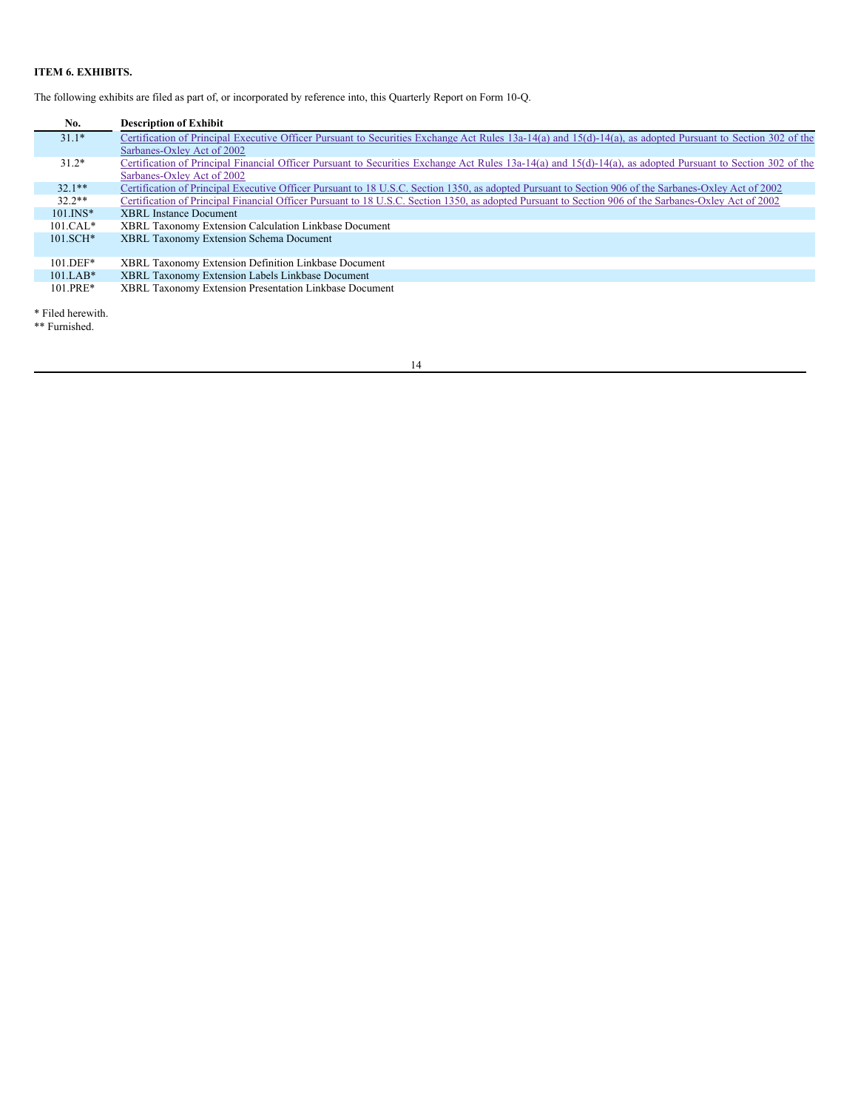# **ITEM 6. EXHIBITS.**

The following exhibits are filed as part of, or incorporated by reference into, this Quarterly Report on Form 10-Q.

| No.         | <b>Description of Exhibit</b>                                                                                                                               |
|-------------|-------------------------------------------------------------------------------------------------------------------------------------------------------------|
| $31.1*$     | Certification of Principal Executive Officer Pursuant to Securities Exchange Act Rules 13a-14(a) and 15(d)-14(a), as adopted Pursuant to Section 302 of the |
|             | Sarbanes-Oxley Act of 2002                                                                                                                                  |
| $31.2*$     | Certification of Principal Financial Officer Pursuant to Securities Exchange Act Rules 13a-14(a) and 15(d)-14(a), as adopted Pursuant to Section 302 of the |
|             | Sarbanes-Oxley Act of 2002                                                                                                                                  |
| $32.1**$    | Certification of Principal Executive Officer Pursuant to 18 U.S.C. Section 1350, as adopted Pursuant to Section 906 of the Sarbanes-Oxley Act of 2002       |
| $32.2**$    | Certification of Principal Financial Officer Pursuant to 18 U.S.C. Section 1350, as adopted Pursuant to Section 906 of the Sarbanes-Oxley Act of 2002       |
| $101.$ INS* | <b>XBRL</b> Instance Document                                                                                                                               |
| $101.CAL*$  | XBRL Taxonomy Extension Calculation Linkbase Document                                                                                                       |
| $101.SCH*$  | <b>XBRL Taxonomy Extension Schema Document</b>                                                                                                              |
|             |                                                                                                                                                             |
| $101.$ DEF* | XBRL Taxonomy Extension Definition Linkbase Document                                                                                                        |
| $101.LAB*$  | XBRL Taxonomy Extension Labels Linkbase Document                                                                                                            |
| $101.PRE*$  | XBRL Taxonomy Extension Presentation Linkbase Document                                                                                                      |
|             |                                                                                                                                                             |

\* Filed herewith.

\*\* Furnished.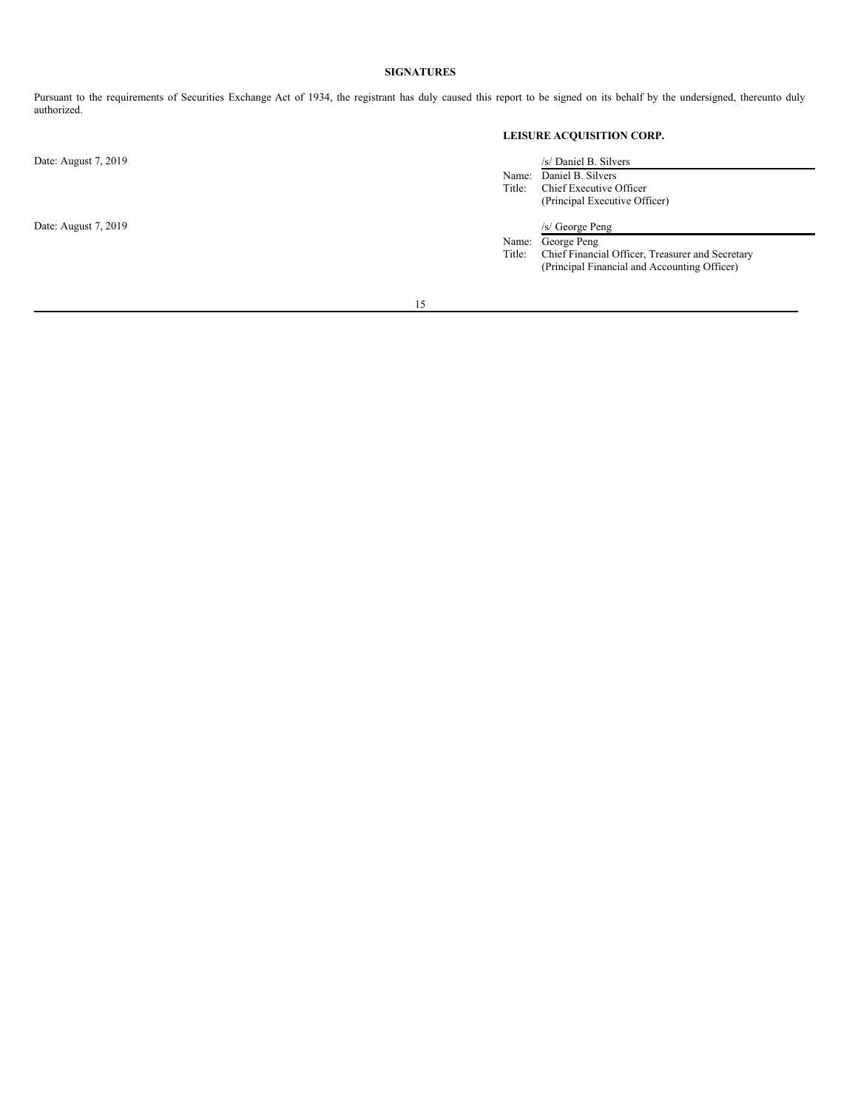## **SIGNATURES**

Pursuant to the requirements of Securities Exchange Act of 1934, the registrant has duly caused this report to be signed on its behalf by the undersigned, thereunto duly authorized.

Date: August 7, 2019 /s/ Daniel B. Silvers

Date: August 7, 2019 /s/ George Peng

# **LEISURE ACQUISITION CORP.**

Name: Daniel B. Silvers Title: Chief Executive Officer (Principal Executive Officer)

Name: George Peng Title: Chief Financial Officer, Treasurer and Secretary (Principal Financial and Accounting Officer)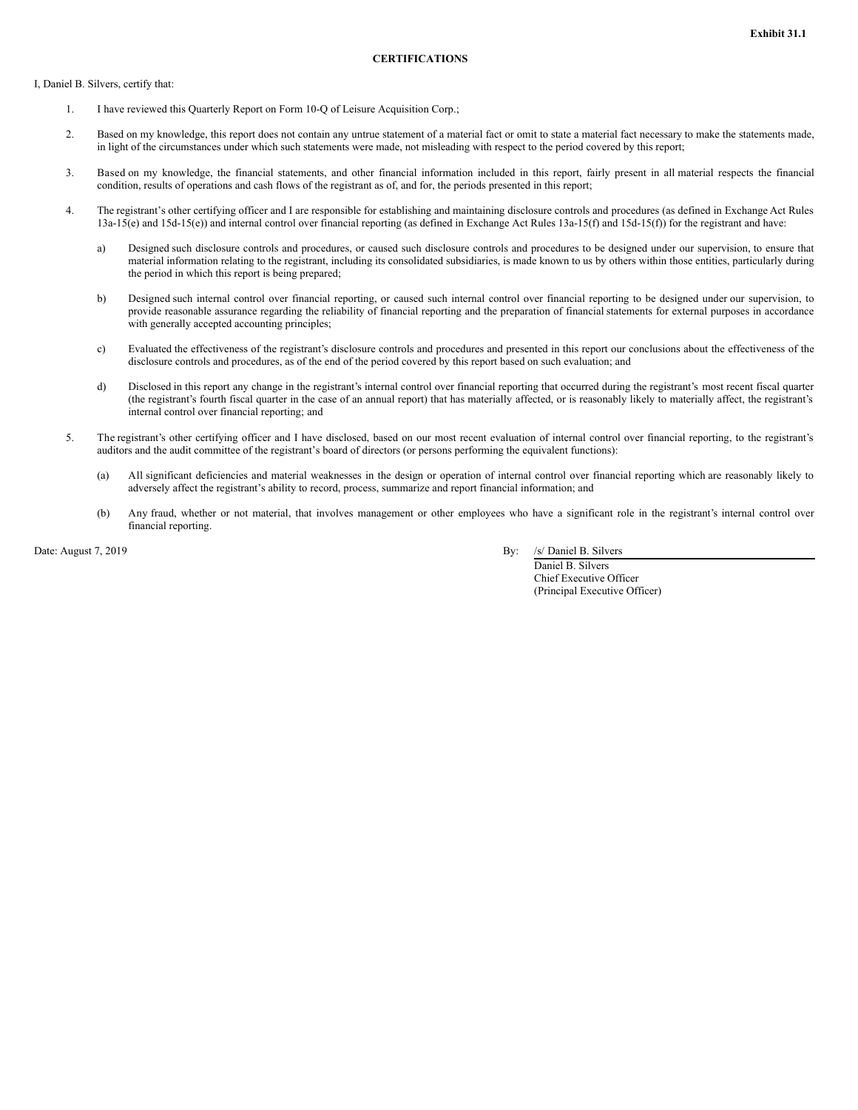<span id="page-17-0"></span>I, Daniel B. Silvers, certify that:

- 1. I have reviewed this Quarterly Report on Form 10-Q of Leisure Acquisition Corp.;
- 2. Based on my knowledge, this report does not contain any untrue statement of a material fact or omit to state a material fact necessary to make the statements made, in light of the circumstances under which such statements were made, not misleading with respect to the period covered by this report;
- 3. Based on my knowledge, the financial statements, and other financial information included in this report, fairly present in all material respects the financial condition, results of operations and cash flows of the registrant as of, and for, the periods presented in this report;
- 4. The registrant's other certifying officer and I are responsible for establishing and maintaining disclosure controls and procedures (as defined in Exchange Act Rules 13a-15(e) and 15d-15(e)) and internal control over financial reporting (as defined in Exchange Act Rules 13a-15(f) and 15d-15(f)) for the registrant and have:
	- a) Designed such disclosure controls and procedures, or caused such disclosure controls and procedures to be designed under our supervision, to ensure that material information relating to the registrant, including its consolidated subsidiaries, is made known to us by others within those entities, particularly during the period in which this report is being prepared;
	- b) Designed such internal control over financial reporting, or caused such internal control over financial reporting to be designed under our supervision, to provide reasonable assurance regarding the reliability of financial reporting and the preparation of financial statements for external purposes in accordance with generally accepted accounting principles;
	- c) Evaluated the effectiveness of the registrant's disclosure controls and procedures and presented in this report our conclusions about the effectiveness of the disclosure controls and procedures, as of the end of the period covered by this report based on such evaluation; and
	- d) Disclosed in this report any change in the registrant's internal control over financial reporting that occurred during the registrant's most recent fiscal quarter (the registrant's fourth fiscal quarter in the case of an annual report) that has materially affected, or is reasonably likely to materially affect, the registrant's internal control over financial reporting; and
- 5. The registrant's other certifying officer and I have disclosed, based on our most recent evaluation of internal control over financial reporting, to the registrant's auditors and the audit committee of the registrant's board of directors (or persons performing the equivalent functions):
	- (a) All significant deficiencies and material weaknesses in the design or operation of internal control over financial reporting which are reasonably likely to adversely affect the registrant's ability to record, process, summarize and report financial information; and
	- (b) Any fraud, whether or not material, that involves management or other employees who have a significant role in the registrant's internal control over financial reporting.

Date: August 7, 2019 By: /s/ Daniel B. Silvers

Daniel B. Silvers Chief Executive Officer (Principal Executive Officer)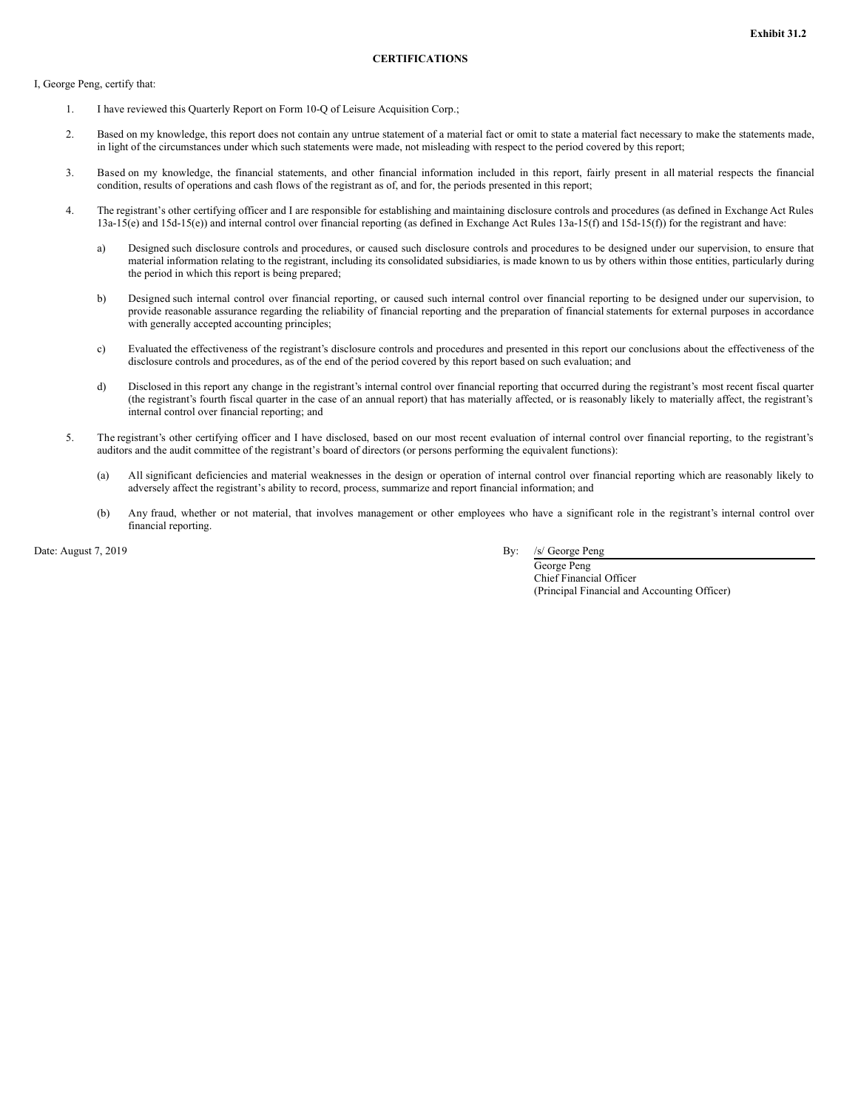<span id="page-18-0"></span>I, George Peng, certify that:

- 1. I have reviewed this Quarterly Report on Form 10-Q of Leisure Acquisition Corp.;
- 2. Based on my knowledge, this report does not contain any untrue statement of a material fact or omit to state a material fact necessary to make the statements made, in light of the circumstances under which such statements were made, not misleading with respect to the period covered by this report;
- 3. Based on my knowledge, the financial statements, and other financial information included in this report, fairly present in all material respects the financial condition, results of operations and cash flows of the registrant as of, and for, the periods presented in this report;
- 4. The registrant's other certifying officer and I are responsible for establishing and maintaining disclosure controls and procedures (as defined in Exchange Act Rules 13a-15(e) and 15d-15(e)) and internal control over financial reporting (as defined in Exchange Act Rules 13a-15(f) and 15d-15(f)) for the registrant and have:
	- a) Designed such disclosure controls and procedures, or caused such disclosure controls and procedures to be designed under our supervision, to ensure that material information relating to the registrant, including its consolidated subsidiaries, is made known to us by others within those entities, particularly during the period in which this report is being prepared;
	- b) Designed such internal control over financial reporting, or caused such internal control over financial reporting to be designed under our supervision, to provide reasonable assurance regarding the reliability of financial reporting and the preparation of financial statements for external purposes in accordance with generally accepted accounting principles;
	- c) Evaluated the effectiveness of the registrant's disclosure controls and procedures and presented in this report our conclusions about the effectiveness of the disclosure controls and procedures, as of the end of the period covered by this report based on such evaluation; and
	- d) Disclosed in this report any change in the registrant's internal control over financial reporting that occurred during the registrant's most recent fiscal quarter (the registrant's fourth fiscal quarter in the case of an annual report) that has materially affected, or is reasonably likely to materially affect, the registrant's internal control over financial reporting; and
- 5. The registrant's other certifying officer and I have disclosed, based on our most recent evaluation of internal control over financial reporting, to the registrant's auditors and the audit committee of the registrant's board of directors (or persons performing the equivalent functions):
	- (a) All significant deficiencies and material weaknesses in the design or operation of internal control over financial reporting which are reasonably likely to adversely affect the registrant's ability to record, process, summarize and report financial information; and
	- (b) Any fraud, whether or not material, that involves management or other employees who have a significant role in the registrant's internal control over financial reporting.

Date: August 7, 2019 By: /s/ George Peng

George Peng Chief Financial Officer (Principal Financial and Accounting Officer)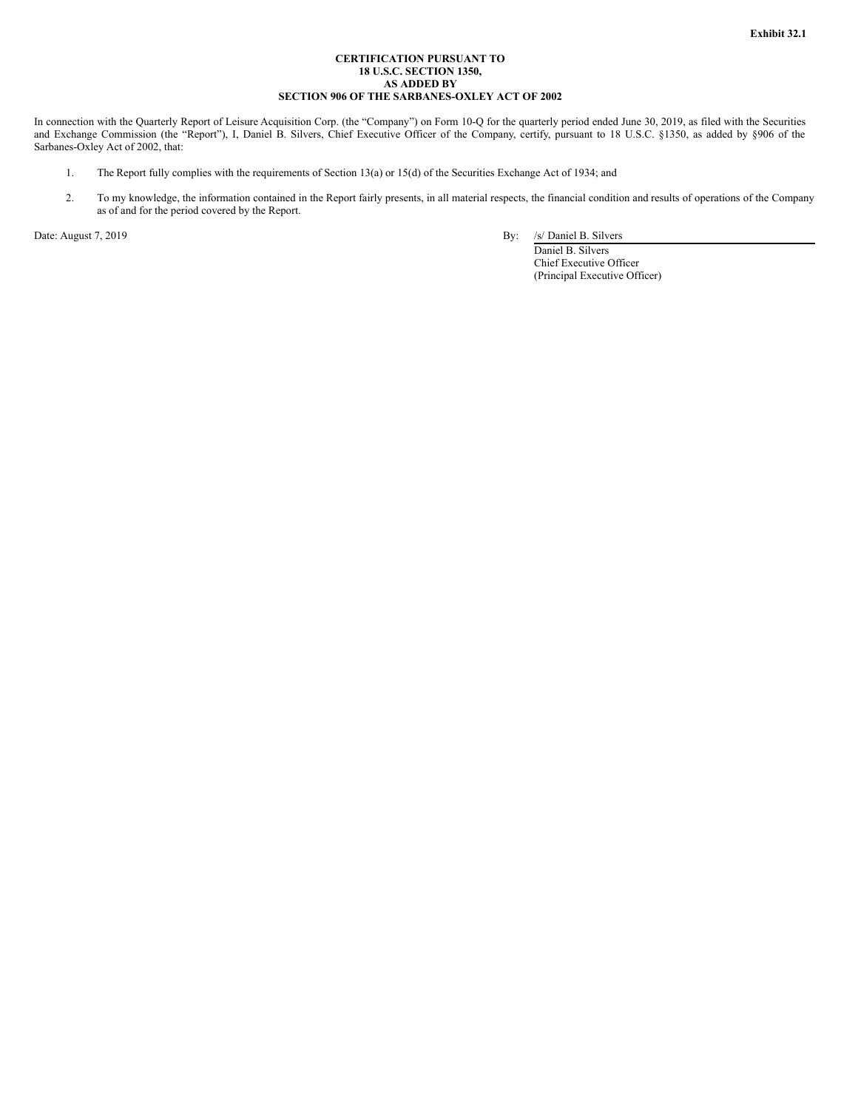### **CERTIFICATION PURSUANT TO 18 U.S.C. SECTION 1350, AS ADDED BY SECTION 906 OF THE SARBANES-OXLEY ACT OF 2002**

<span id="page-19-0"></span>In connection with the Quarterly Report of Leisure Acquisition Corp. (the "Company") on Form 10-Q for the quarterly period ended June 30, 2019, as filed with the Securities and Exchange Commission (the "Report"), I, Daniel B. Silvers, Chief Executive Officer of the Company, certify, pursuant to 18 U.S.C. §1350, as added by §906 of the Sarbanes-Oxley Act of 2002, that:

- 1. The Report fully complies with the requirements of Section 13(a) or 15(d) of the Securities Exchange Act of 1934; and
- 2. To my knowledge, the information contained in the Report fairly presents, in all material respects, the financial condition and results of operations of the Company as of and for the period covered by the Report.

Date: August 7, 2019 By: /s/ Daniel B. Silvers

Daniel B. Silvers Chief Executive Officer (Principal Executive Officer)